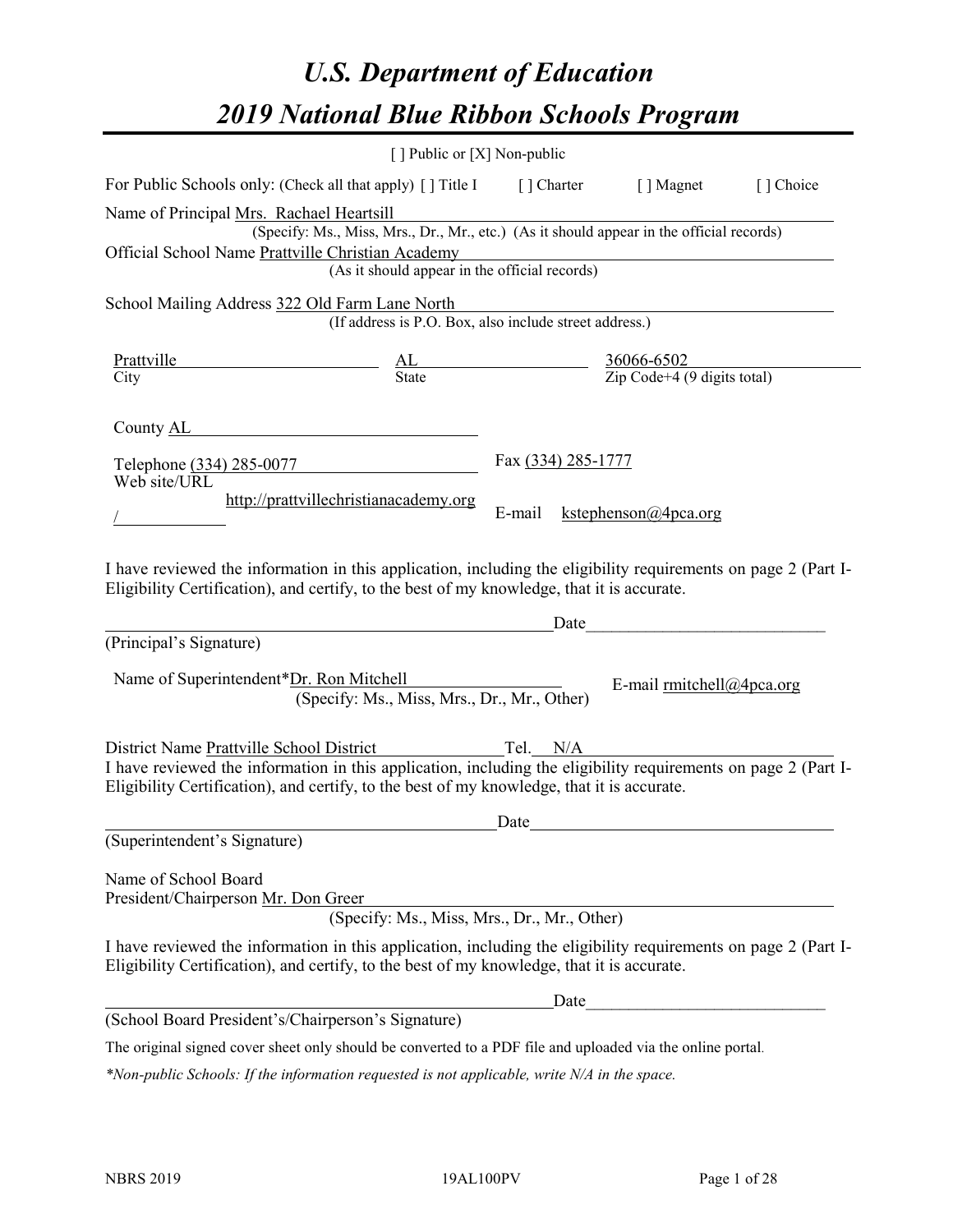# *U.S. Department of Education 2019 National Blue Ribbon Schools Program*

|                                                                                                                                                                                                                                                                                 | [ ] Public or [X] Non-public                                                                                                                                   |                    |                             |  |
|---------------------------------------------------------------------------------------------------------------------------------------------------------------------------------------------------------------------------------------------------------------------------------|----------------------------------------------------------------------------------------------------------------------------------------------------------------|--------------------|-----------------------------|--|
| For Public Schools only: (Check all that apply) [ ] Title I [ ] Charter [ ] Magnet [ ] Choice                                                                                                                                                                                   |                                                                                                                                                                |                    |                             |  |
| Name of Principal Mrs. Rachael Heartsill<br>Official School Name Prattville Christian Academy                                                                                                                                                                                   | (Specify: Ms., Miss, Mrs., Dr., Mr., etc.) (As it should appear in the official records)<br>Christian Academy<br>(As it should appear in the official records) |                    |                             |  |
| School Mailing Address 322 Old Farm Lane North                                                                                                                                                                                                                                  | (If address is P.O. Box, also include street address.)                                                                                                         |                    |                             |  |
| Prattville<br>City<br>City<br>City<br>City<br>City<br>City<br>City<br>City<br>City<br>City<br>City<br>City<br>City<br>City<br>City<br>City<br>Context City<br>Context City<br>Context City<br>Context City<br>Context City<br>Context City<br>Context City<br>Context City<br>C |                                                                                                                                                                |                    |                             |  |
| County AL Country AL Country AL Country AL Country AL Country AL Country AL Country AL Country AL Country AL Country AL Country AL Country AL Country AL Country AL Country AL Country AL Country AL Country AL Country AL Cou<br>Telephone (334) 285-0077                      |                                                                                                                                                                | Fax (334) 285-1777 |                             |  |
| Web site/URL                                                                                                                                                                                                                                                                    | http://prattvillechristianacademy.org                                                                                                                          | E-mail             | kstephenson@4pca.org        |  |
| I have reviewed the information in this application, including the eligibility requirements on page 2 (Part I-<br>Eligibility Certification), and certify, to the best of my knowledge, that it is accurate.                                                                    |                                                                                                                                                                |                    |                             |  |
| (Principal's Signature)                                                                                                                                                                                                                                                         |                                                                                                                                                                | Date               |                             |  |
| Name of Superintendent*Dr. Ron Mitchell                                                                                                                                                                                                                                         | (Specify: Ms., Miss, Mrs., Dr., Mr., Other)                                                                                                                    |                    | E-mail $rmitchell@4pca.org$ |  |
| District Name Prattville School District Tel. N/A<br>I have reviewed the information in this application, including the eligibility requirements on page 2 (Part I-<br>Eligibility Certification), and certify, to the best of my knowledge, that it is accurate.               |                                                                                                                                                                |                    |                             |  |
| (Superintendent's Signature)                                                                                                                                                                                                                                                    |                                                                                                                                                                | Date               |                             |  |
| Name of School Board<br>President/Chairperson Mr. Don Greer                                                                                                                                                                                                                     | (Specify: Ms., Miss, Mrs., Dr., Mr., Other)                                                                                                                    |                    |                             |  |
| I have reviewed the information in this application, including the eligibility requirements on page 2 (Part I-<br>Eligibility Certification), and certify, to the best of my knowledge, that it is accurate.                                                                    |                                                                                                                                                                |                    |                             |  |
|                                                                                                                                                                                                                                                                                 |                                                                                                                                                                | Date               |                             |  |
| (School Board President's/Chairperson's Signature)                                                                                                                                                                                                                              |                                                                                                                                                                |                    |                             |  |
| $1 - 1 - 1 = 1 - 1 = 1 - 111$                                                                                                                                                                                                                                                   |                                                                                                                                                                |                    |                             |  |

The original signed cover sheet only should be converted to a PDF file and uploaded via the online portal.

*\*Non-public Schools: If the information requested is not applicable, write N/A in the space.*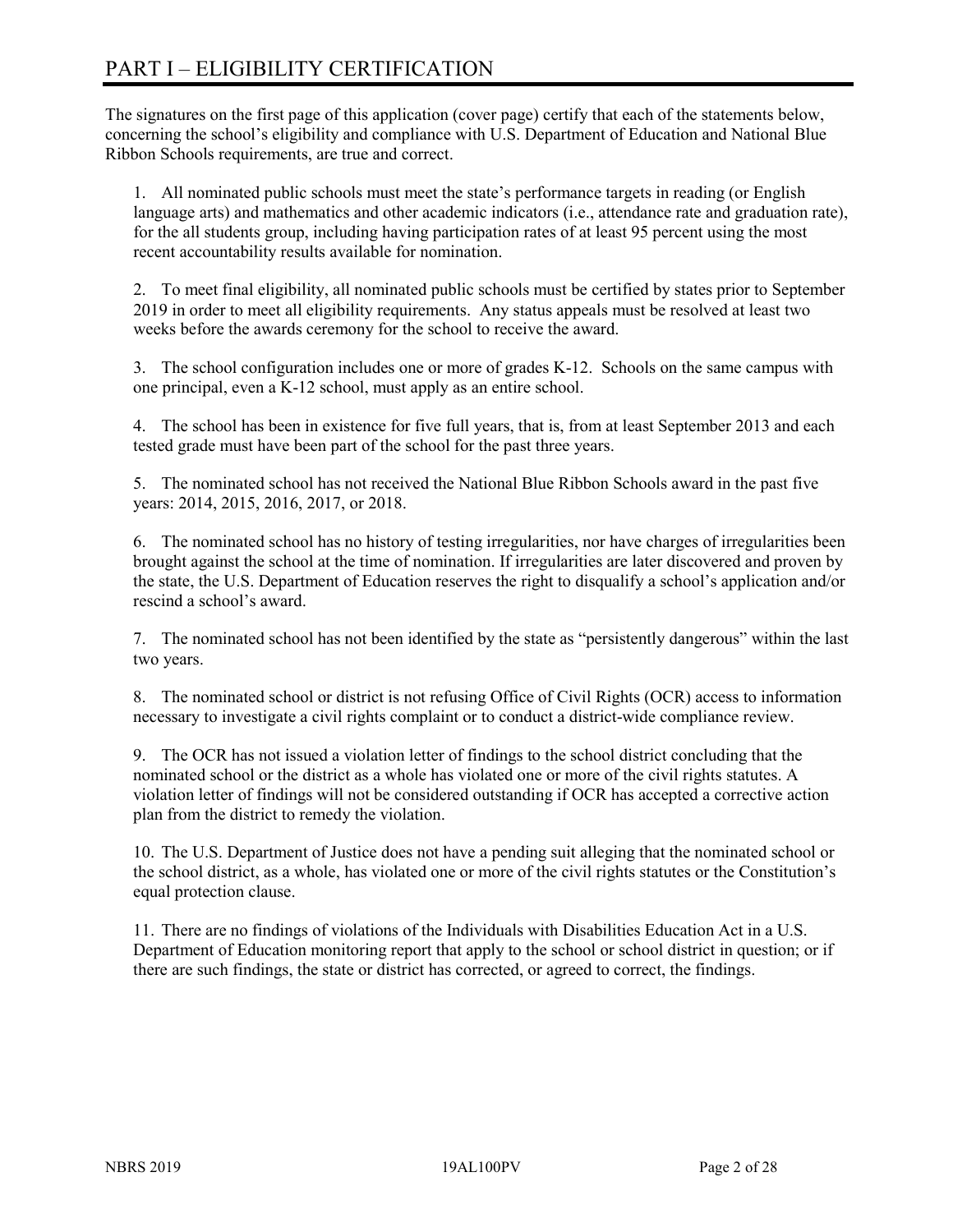# PART I – ELIGIBILITY CERTIFICATION

The signatures on the first page of this application (cover page) certify that each of the statements below, concerning the school's eligibility and compliance with U.S. Department of Education and National Blue Ribbon Schools requirements, are true and correct.

1. All nominated public schools must meet the state's performance targets in reading (or English language arts) and mathematics and other academic indicators (i.e., attendance rate and graduation rate), for the all students group, including having participation rates of at least 95 percent using the most recent accountability results available for nomination.

2. To meet final eligibility, all nominated public schools must be certified by states prior to September 2019 in order to meet all eligibility requirements. Any status appeals must be resolved at least two weeks before the awards ceremony for the school to receive the award.

3. The school configuration includes one or more of grades K-12. Schools on the same campus with one principal, even a K-12 school, must apply as an entire school.

4. The school has been in existence for five full years, that is, from at least September 2013 and each tested grade must have been part of the school for the past three years.

5. The nominated school has not received the National Blue Ribbon Schools award in the past five years: 2014, 2015, 2016, 2017, or 2018.

6. The nominated school has no history of testing irregularities, nor have charges of irregularities been brought against the school at the time of nomination. If irregularities are later discovered and proven by the state, the U.S. Department of Education reserves the right to disqualify a school's application and/or rescind a school's award.

7. The nominated school has not been identified by the state as "persistently dangerous" within the last two years.

8. The nominated school or district is not refusing Office of Civil Rights (OCR) access to information necessary to investigate a civil rights complaint or to conduct a district-wide compliance review.

9. The OCR has not issued a violation letter of findings to the school district concluding that the nominated school or the district as a whole has violated one or more of the civil rights statutes. A violation letter of findings will not be considered outstanding if OCR has accepted a corrective action plan from the district to remedy the violation.

10. The U.S. Department of Justice does not have a pending suit alleging that the nominated school or the school district, as a whole, has violated one or more of the civil rights statutes or the Constitution's equal protection clause.

11. There are no findings of violations of the Individuals with Disabilities Education Act in a U.S. Department of Education monitoring report that apply to the school or school district in question; or if there are such findings, the state or district has corrected, or agreed to correct, the findings.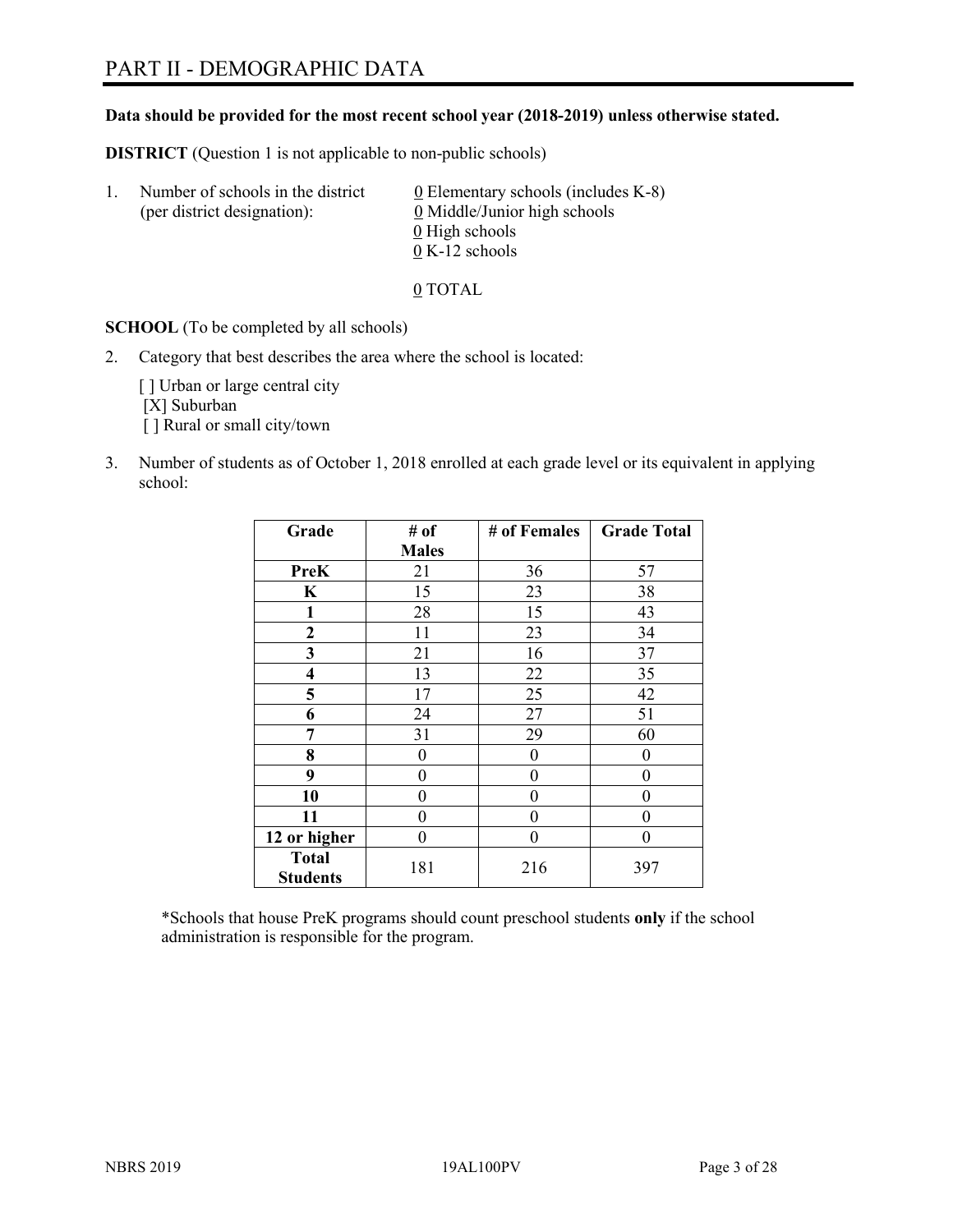# PART II - DEMOGRAPHIC DATA

#### **Data should be provided for the most recent school year (2018-2019) unless otherwise stated.**

**DISTRICT** (Question 1 is not applicable to non-public schools)

| -1. | Number of schools in the district<br>(per district designation): | $\underline{0}$ Elementary schools (includes K-8)<br>0 Middle/Junior high schools |
|-----|------------------------------------------------------------------|-----------------------------------------------------------------------------------|
|     |                                                                  | 0 High schools                                                                    |
|     |                                                                  | $0 K-12$ schools                                                                  |

0 TOTAL

**SCHOOL** (To be completed by all schools)

2. Category that best describes the area where the school is located:

[] Urban or large central city [X] Suburban [] Rural or small city/town

3. Number of students as of October 1, 2018 enrolled at each grade level or its equivalent in applying school:

| Grade                           | # of           | # of Females | <b>Grade Total</b> |
|---------------------------------|----------------|--------------|--------------------|
|                                 | <b>Males</b>   |              |                    |
| PreK                            | 21             | 36           | 57                 |
| K                               | 15             | 23           | 38                 |
| $\mathbf{1}$                    | 28             | 15           | 43                 |
| 2                               | 11             | 23           | 34                 |
| 3                               | 21             | 16           | 37                 |
| 4                               | 13             | 22           | 35                 |
| 5                               | 17             | 25           | 42                 |
| 6                               | 24             | 27           | 51                 |
| 7                               | 31             | 29           | 60                 |
| 8                               | $\overline{0}$ | 0            | 0                  |
| 9                               | 0              | 0            | 0                  |
| 10                              | $\overline{0}$ | 0            | 0                  |
| 11                              | 0              | 0            | 0                  |
| 12 or higher                    | 0              | 0            | 0                  |
| <b>Total</b><br><b>Students</b> | 181            | 216          | 397                |

\*Schools that house PreK programs should count preschool students **only** if the school administration is responsible for the program.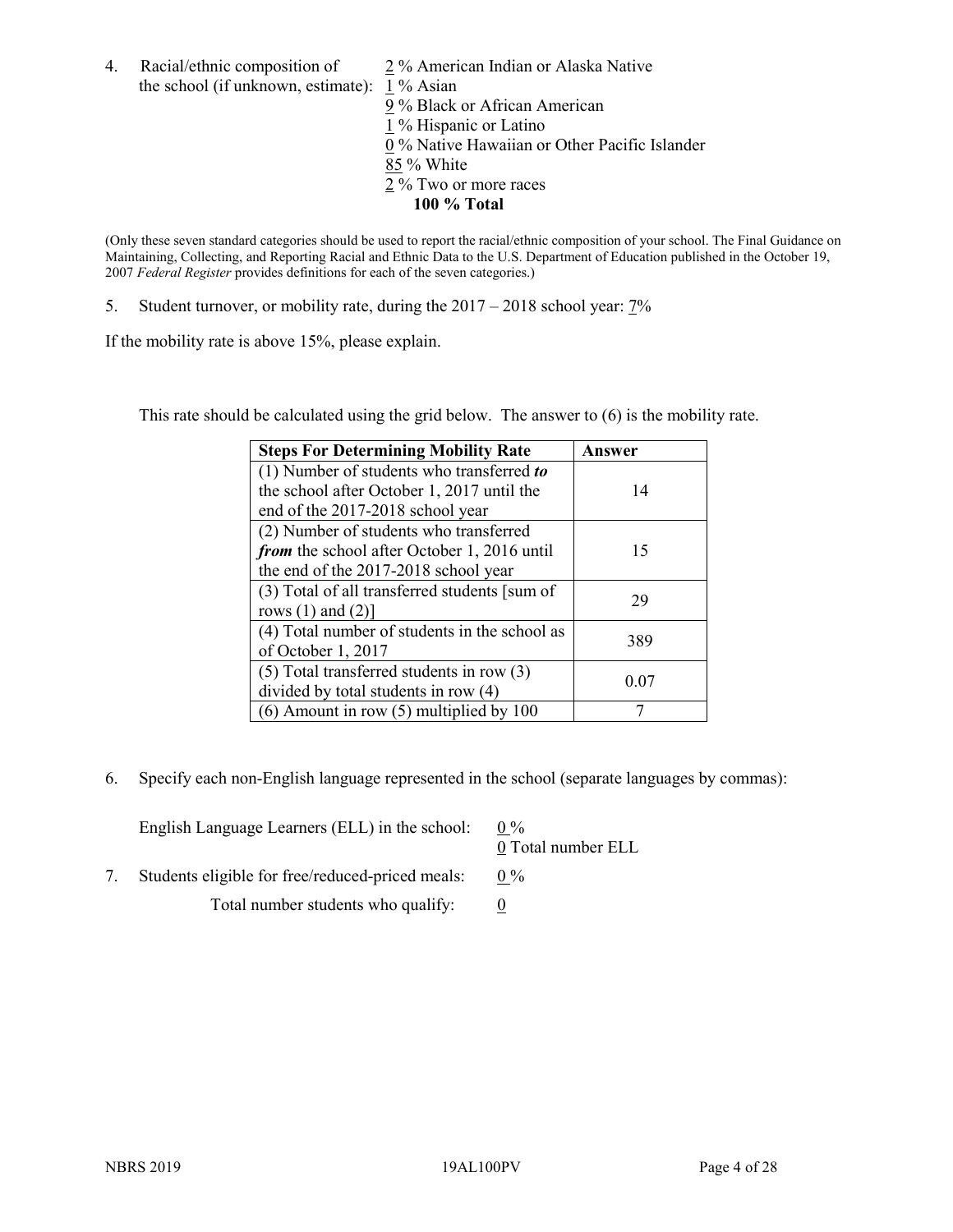4. Racial/ethnic composition of  $\frac{2}{3}$ % American Indian or Alaska Native the school (if unknown, estimate): 1 % Asian

9 % Black or African American  $\overline{1}$  % Hispanic or Latino 0 % Native Hawaiian or Other Pacific Islander 85 % White 2 % Two or more races **100 % Total**

(Only these seven standard categories should be used to report the racial/ethnic composition of your school. The Final Guidance on Maintaining, Collecting, and Reporting Racial and Ethnic Data to the U.S. Department of Education published in the October 19, 2007 *Federal Register* provides definitions for each of the seven categories.)

5. Student turnover, or mobility rate, during the 2017 – 2018 school year: 7%

If the mobility rate is above 15%, please explain.

This rate should be calculated using the grid below. The answer to (6) is the mobility rate.

| <b>Steps For Determining Mobility Rate</b>    | Answer |
|-----------------------------------------------|--------|
| (1) Number of students who transferred to     |        |
| the school after October 1, 2017 until the    | 14     |
| end of the 2017-2018 school year              |        |
| (2) Number of students who transferred        |        |
| from the school after October 1, 2016 until   | 15     |
| the end of the 2017-2018 school year          |        |
| (3) Total of all transferred students [sum of | 29     |
| rows $(1)$ and $(2)$ ]                        |        |
| (4) Total number of students in the school as | 389    |
| of October 1, 2017                            |        |
| $(5)$ Total transferred students in row $(3)$ | 0.07   |
| divided by total students in row (4)          |        |
| $(6)$ Amount in row $(5)$ multiplied by 100   |        |

6. Specify each non-English language represented in the school (separate languages by commas):

| English Language Learners (ELL) in the school:   | $0\%$<br>0 Total number ELL |
|--------------------------------------------------|-----------------------------|
| Students eligible for free/reduced-priced meals: | $0\%$                       |
| Total number students who qualify:               |                             |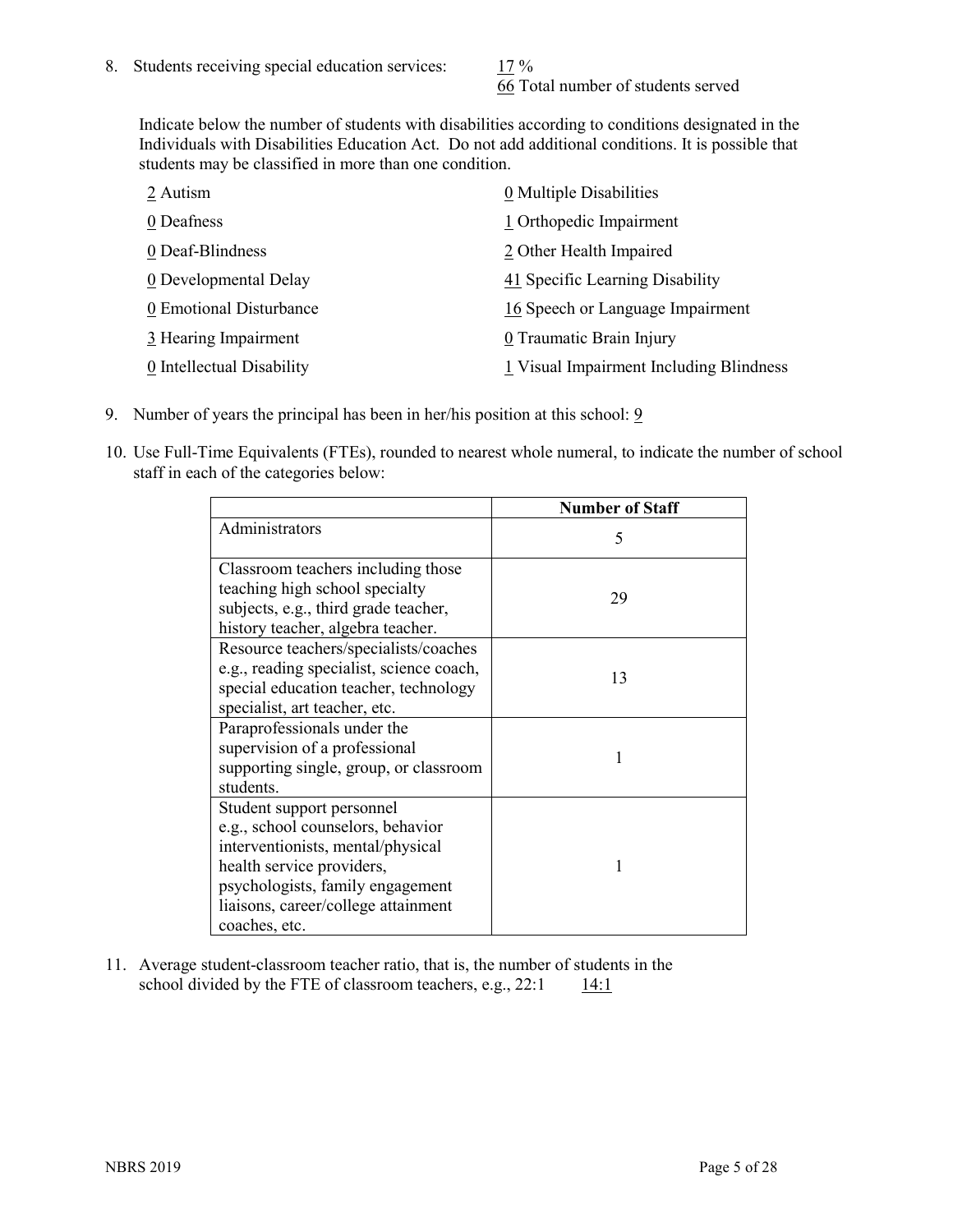66 Total number of students served

Indicate below the number of students with disabilities according to conditions designated in the Individuals with Disabilities Education Act. Do not add additional conditions. It is possible that students may be classified in more than one condition.

| 2 Autism                  | $\underline{0}$ Multiple Disabilities   |
|---------------------------|-----------------------------------------|
| 0 Deafness                | 1 Orthopedic Impairment                 |
| 0 Deaf-Blindness          | 2 Other Health Impaired                 |
| 0 Developmental Delay     | 41 Specific Learning Disability         |
| 0 Emotional Disturbance   | 16 Speech or Language Impairment        |
| 3 Hearing Impairment      | 0 Traumatic Brain Injury                |
| 0 Intellectual Disability | 1 Visual Impairment Including Blindness |

- 9. Number of years the principal has been in her/his position at this school: 9
- 10. Use Full-Time Equivalents (FTEs), rounded to nearest whole numeral, to indicate the number of school staff in each of the categories below:

|                                                                                                                                                                                                                              | <b>Number of Staff</b> |
|------------------------------------------------------------------------------------------------------------------------------------------------------------------------------------------------------------------------------|------------------------|
| Administrators                                                                                                                                                                                                               | 5                      |
| Classroom teachers including those<br>teaching high school specialty<br>subjects, e.g., third grade teacher,<br>history teacher, algebra teacher.                                                                            | 29                     |
| Resource teachers/specialists/coaches<br>e.g., reading specialist, science coach,<br>special education teacher, technology<br>specialist, art teacher, etc.                                                                  | 13                     |
| Paraprofessionals under the<br>supervision of a professional<br>supporting single, group, or classroom<br>students.                                                                                                          | 1                      |
| Student support personnel<br>e.g., school counselors, behavior<br>interventionists, mental/physical<br>health service providers,<br>psychologists, family engagement<br>liaisons, career/college attainment<br>coaches, etc. |                        |

11. Average student-classroom teacher ratio, that is, the number of students in the school divided by the FTE of classroom teachers, e.g.,  $22:1$  14:1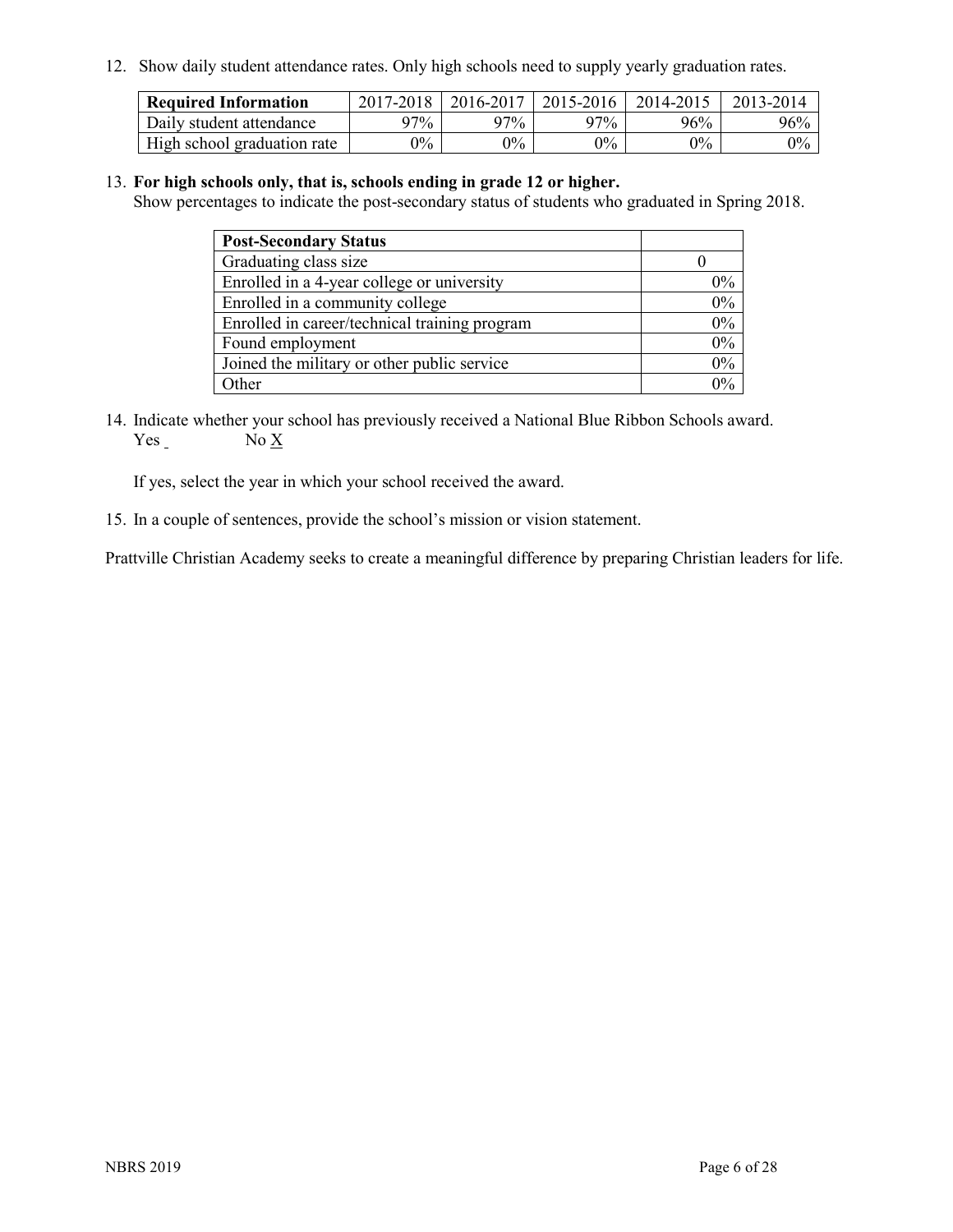12. Show daily student attendance rates. Only high schools need to supply yearly graduation rates.

| <b>Required Information</b> | 2017-2018 | 2016-2017 | 2015-2016 | 2014-2015 | 2013-2014 |
|-----------------------------|-----------|-----------|-----------|-----------|-----------|
| Daily student attendance    | 97%       | 97%       | 97%       | 96%       | 96%       |
| High school graduation rate | $0\%$     | $0\%$     | $0\%$     | $9\%$     | $0\%$     |

#### 13. **For high schools only, that is, schools ending in grade 12 or higher.**

Show percentages to indicate the post-secondary status of students who graduated in Spring 2018.

| <b>Post-Secondary Status</b>                  |           |
|-----------------------------------------------|-----------|
| Graduating class size                         |           |
| Enrolled in a 4-year college or university    | $0\%$     |
| Enrolled in a community college               | 0%        |
| Enrolled in career/technical training program | $0\%$     |
| Found employment                              | 0%        |
| Joined the military or other public service   | 0%        |
| Other                                         | በዓ $\sim$ |

14. Indicate whether your school has previously received a National Blue Ribbon Schools award.  $Yes_$  No  $X_$ 

If yes, select the year in which your school received the award.

15. In a couple of sentences, provide the school's mission or vision statement.

Prattville Christian Academy seeks to create a meaningful difference by preparing Christian leaders for life.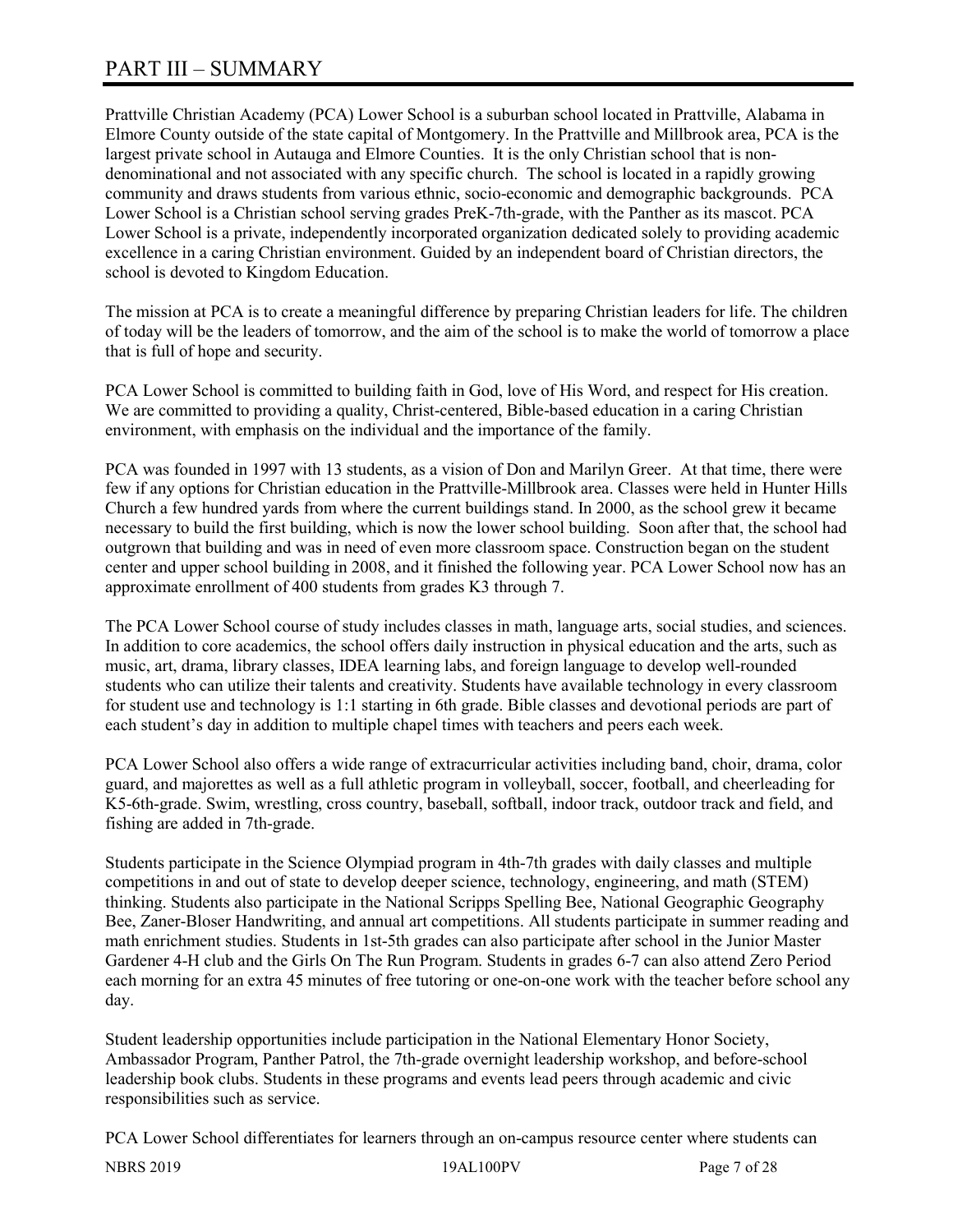# PART III – SUMMARY

Prattville Christian Academy (PCA) Lower School is a suburban school located in Prattville, Alabama in Elmore County outside of the state capital of Montgomery. In the Prattville and Millbrook area, PCA is the largest private school in Autauga and Elmore Counties. It is the only Christian school that is nondenominational and not associated with any specific church. The school is located in a rapidly growing community and draws students from various ethnic, socio-economic and demographic backgrounds. PCA Lower School is a Christian school serving grades PreK-7th-grade, with the Panther as its mascot. PCA Lower School is a private, independently incorporated organization dedicated solely to providing academic excellence in a caring Christian environment. Guided by an independent board of Christian directors, the school is devoted to Kingdom Education.

The mission at PCA is to create a meaningful difference by preparing Christian leaders for life. The children of today will be the leaders of tomorrow, and the aim of the school is to make the world of tomorrow a place that is full of hope and security.

PCA Lower School is committed to building faith in God, love of His Word, and respect for His creation. We are committed to providing a quality, Christ-centered, Bible-based education in a caring Christian environment, with emphasis on the individual and the importance of the family.

PCA was founded in 1997 with 13 students, as a vision of Don and Marilyn Greer. At that time, there were few if any options for Christian education in the Prattville-Millbrook area. Classes were held in Hunter Hills Church a few hundred yards from where the current buildings stand. In 2000, as the school grew it became necessary to build the first building, which is now the lower school building. Soon after that, the school had outgrown that building and was in need of even more classroom space. Construction began on the student center and upper school building in 2008, and it finished the following year. PCA Lower School now has an approximate enrollment of 400 students from grades K3 through 7.

The PCA Lower School course of study includes classes in math, language arts, social studies, and sciences. In addition to core academics, the school offers daily instruction in physical education and the arts, such as music, art, drama, library classes, IDEA learning labs, and foreign language to develop well-rounded students who can utilize their talents and creativity. Students have available technology in every classroom for student use and technology is 1:1 starting in 6th grade. Bible classes and devotional periods are part of each student's day in addition to multiple chapel times with teachers and peers each week.

PCA Lower School also offers a wide range of extracurricular activities including band, choir, drama, color guard, and majorettes as well as a full athletic program in volleyball, soccer, football, and cheerleading for K5-6th-grade. Swim, wrestling, cross country, baseball, softball, indoor track, outdoor track and field, and fishing are added in 7th-grade.

Students participate in the Science Olympiad program in 4th-7th grades with daily classes and multiple competitions in and out of state to develop deeper science, technology, engineering, and math (STEM) thinking. Students also participate in the National Scripps Spelling Bee, National Geographic Geography Bee, Zaner-Bloser Handwriting, and annual art competitions. All students participate in summer reading and math enrichment studies. Students in 1st-5th grades can also participate after school in the Junior Master Gardener 4-H club and the Girls On The Run Program. Students in grades 6-7 can also attend Zero Period each morning for an extra 45 minutes of free tutoring or one-on-one work with the teacher before school any day.

Student leadership opportunities include participation in the National Elementary Honor Society, Ambassador Program, Panther Patrol, the 7th-grade overnight leadership workshop, and before-school leadership book clubs. Students in these programs and events lead peers through academic and civic responsibilities such as service.

PCA Lower School differentiates for learners through an on-campus resource center where students can

NBRS 2019 19AL100PV Page 7 of 28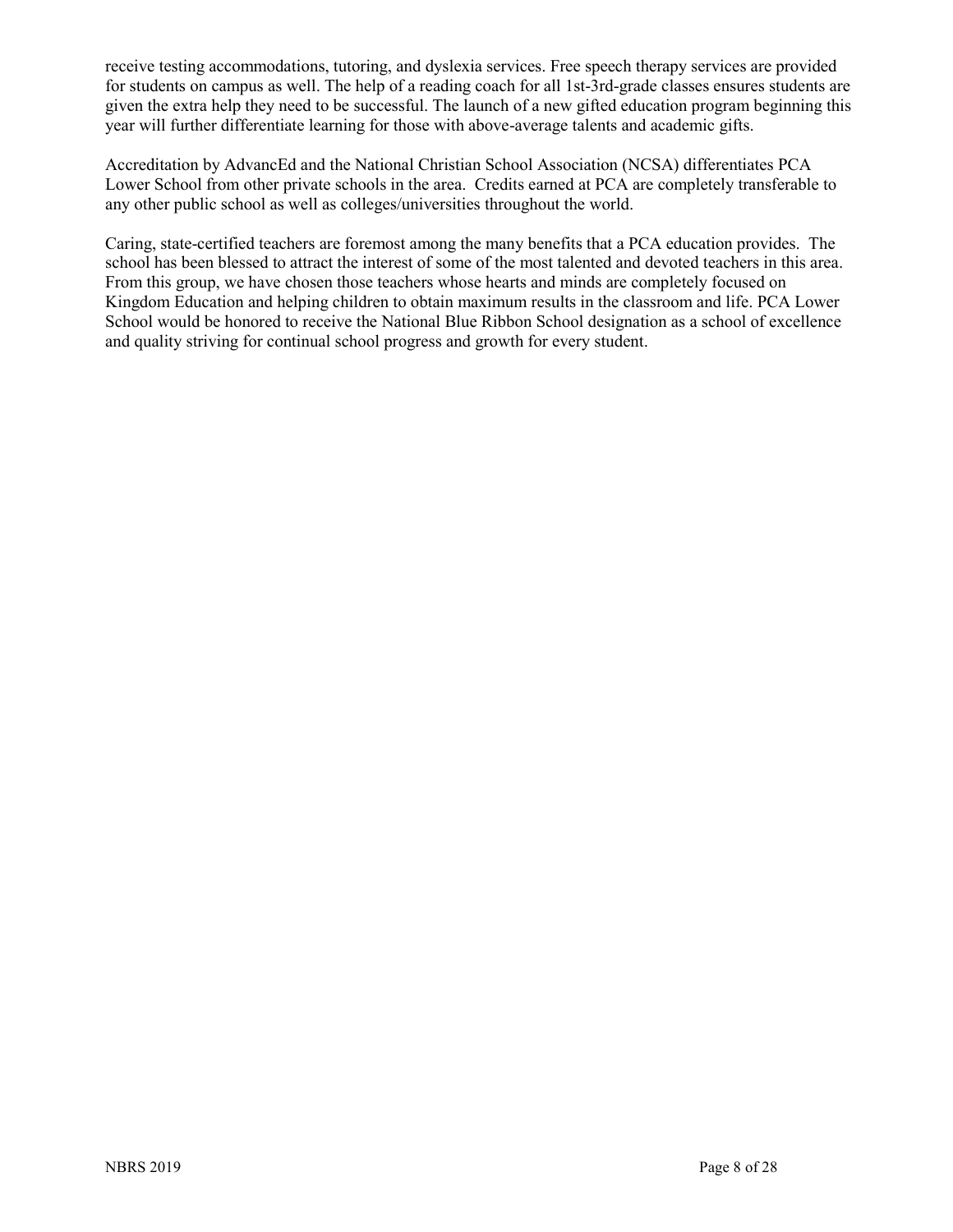receive testing accommodations, tutoring, and dyslexia services. Free speech therapy services are provided for students on campus as well. The help of a reading coach for all 1st-3rd-grade classes ensures students are given the extra help they need to be successful. The launch of a new gifted education program beginning this year will further differentiate learning for those with above-average talents and academic gifts.

Accreditation by AdvancEd and the National Christian School Association (NCSA) differentiates PCA Lower School from other private schools in the area. Credits earned at PCA are completely transferable to any other public school as well as colleges/universities throughout the world.

Caring, state-certified teachers are foremost among the many benefits that a PCA education provides. The school has been blessed to attract the interest of some of the most talented and devoted teachers in this area. From this group, we have chosen those teachers whose hearts and minds are completely focused on Kingdom Education and helping children to obtain maximum results in the classroom and life. PCA Lower School would be honored to receive the National Blue Ribbon School designation as a school of excellence and quality striving for continual school progress and growth for every student.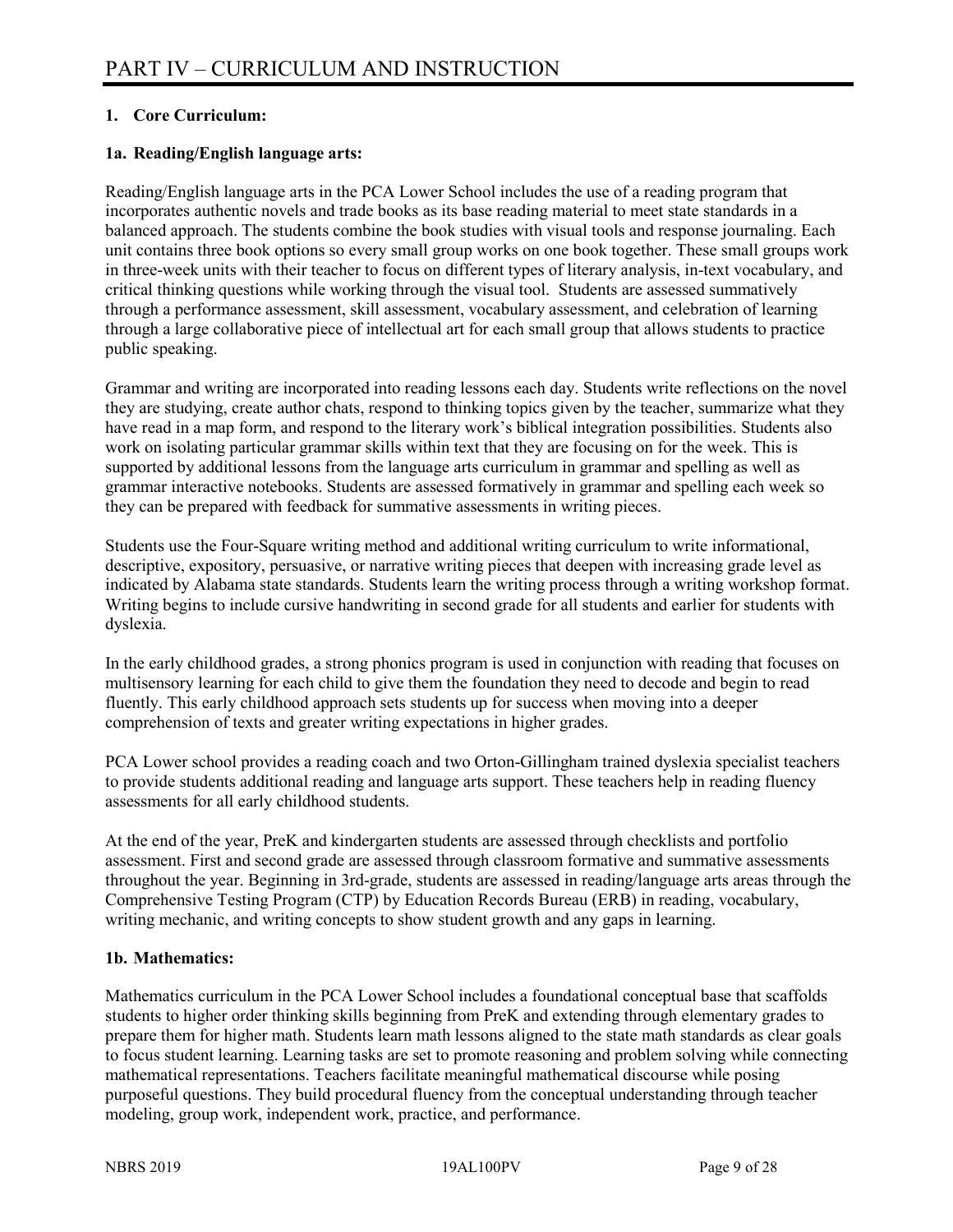#### **1. Core Curriculum:**

#### **1a. Reading/English language arts:**

Reading/English language arts in the PCA Lower School includes the use of a reading program that incorporates authentic novels and trade books as its base reading material to meet state standards in a balanced approach. The students combine the book studies with visual tools and response journaling. Each unit contains three book options so every small group works on one book together. These small groups work in three-week units with their teacher to focus on different types of literary analysis, in-text vocabulary, and critical thinking questions while working through the visual tool. Students are assessed summatively through a performance assessment, skill assessment, vocabulary assessment, and celebration of learning through a large collaborative piece of intellectual art for each small group that allows students to practice public speaking.

Grammar and writing are incorporated into reading lessons each day. Students write reflections on the novel they are studying, create author chats, respond to thinking topics given by the teacher, summarize what they have read in a map form, and respond to the literary work's biblical integration possibilities. Students also work on isolating particular grammar skills within text that they are focusing on for the week. This is supported by additional lessons from the language arts curriculum in grammar and spelling as well as grammar interactive notebooks. Students are assessed formatively in grammar and spelling each week so they can be prepared with feedback for summative assessments in writing pieces.

Students use the Four-Square writing method and additional writing curriculum to write informational, descriptive, expository, persuasive, or narrative writing pieces that deepen with increasing grade level as indicated by Alabama state standards. Students learn the writing process through a writing workshop format. Writing begins to include cursive handwriting in second grade for all students and earlier for students with dyslexia.

In the early childhood grades, a strong phonics program is used in conjunction with reading that focuses on multisensory learning for each child to give them the foundation they need to decode and begin to read fluently. This early childhood approach sets students up for success when moving into a deeper comprehension of texts and greater writing expectations in higher grades.

PCA Lower school provides a reading coach and two Orton-Gillingham trained dyslexia specialist teachers to provide students additional reading and language arts support. These teachers help in reading fluency assessments for all early childhood students.

At the end of the year, PreK and kindergarten students are assessed through checklists and portfolio assessment. First and second grade are assessed through classroom formative and summative assessments throughout the year. Beginning in 3rd-grade, students are assessed in reading/language arts areas through the Comprehensive Testing Program (CTP) by Education Records Bureau (ERB) in reading, vocabulary, writing mechanic, and writing concepts to show student growth and any gaps in learning.

#### **1b. Mathematics:**

Mathematics curriculum in the PCA Lower School includes a foundational conceptual base that scaffolds students to higher order thinking skills beginning from PreK and extending through elementary grades to prepare them for higher math. Students learn math lessons aligned to the state math standards as clear goals to focus student learning. Learning tasks are set to promote reasoning and problem solving while connecting mathematical representations. Teachers facilitate meaningful mathematical discourse while posing purposeful questions. They build procedural fluency from the conceptual understanding through teacher modeling, group work, independent work, practice, and performance.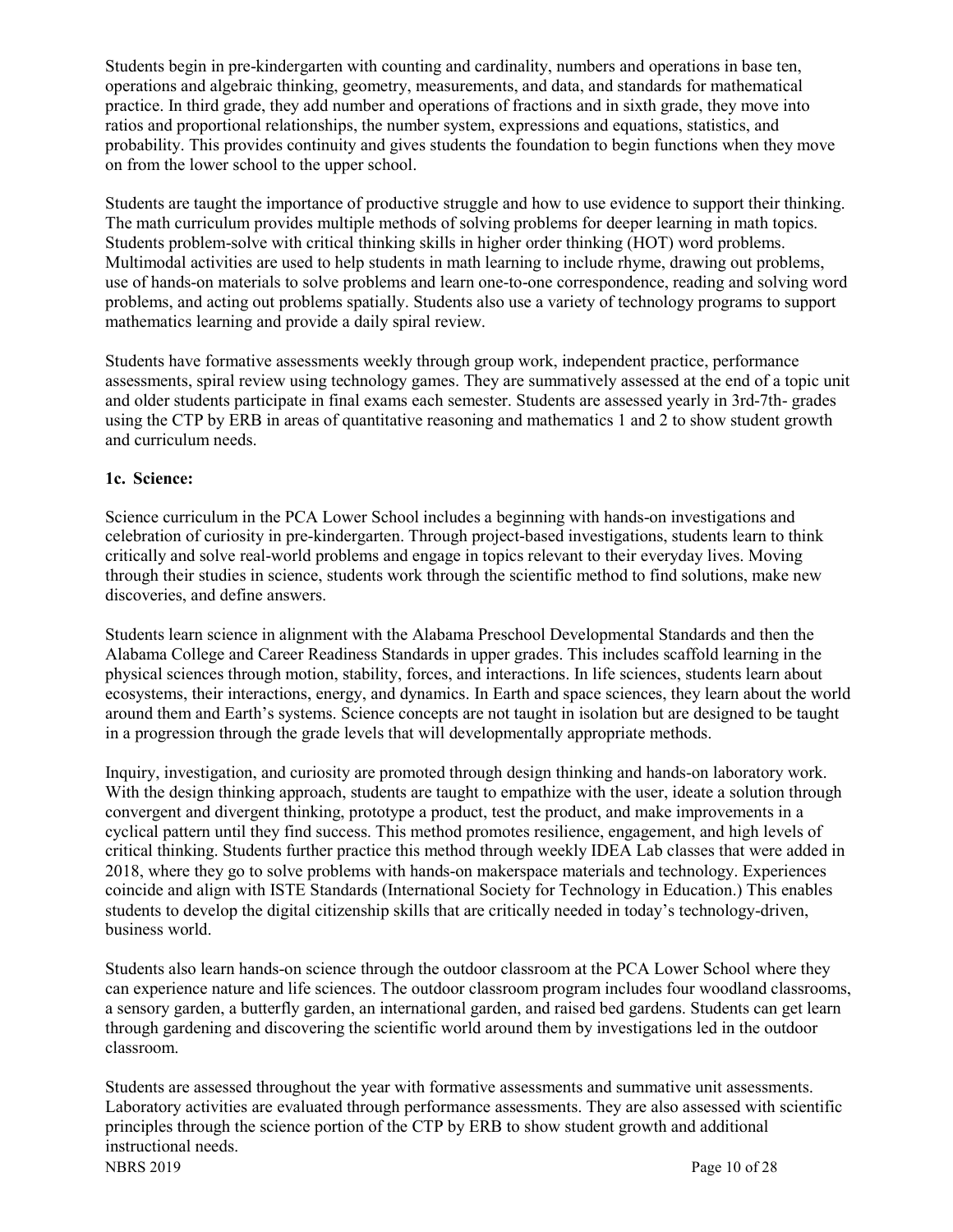Students begin in pre-kindergarten with counting and cardinality, numbers and operations in base ten, operations and algebraic thinking, geometry, measurements, and data, and standards for mathematical practice. In third grade, they add number and operations of fractions and in sixth grade, they move into ratios and proportional relationships, the number system, expressions and equations, statistics, and probability. This provides continuity and gives students the foundation to begin functions when they move on from the lower school to the upper school.

Students are taught the importance of productive struggle and how to use evidence to support their thinking. The math curriculum provides multiple methods of solving problems for deeper learning in math topics. Students problem-solve with critical thinking skills in higher order thinking (HOT) word problems. Multimodal activities are used to help students in math learning to include rhyme, drawing out problems, use of hands-on materials to solve problems and learn one-to-one correspondence, reading and solving word problems, and acting out problems spatially. Students also use a variety of technology programs to support mathematics learning and provide a daily spiral review.

Students have formative assessments weekly through group work, independent practice, performance assessments, spiral review using technology games. They are summatively assessed at the end of a topic unit and older students participate in final exams each semester. Students are assessed yearly in 3rd-7th- grades using the CTP by ERB in areas of quantitative reasoning and mathematics 1 and 2 to show student growth and curriculum needs.

#### **1c. Science:**

Science curriculum in the PCA Lower School includes a beginning with hands-on investigations and celebration of curiosity in pre-kindergarten. Through project-based investigations, students learn to think critically and solve real-world problems and engage in topics relevant to their everyday lives. Moving through their studies in science, students work through the scientific method to find solutions, make new discoveries, and define answers.

Students learn science in alignment with the Alabama Preschool Developmental Standards and then the Alabama College and Career Readiness Standards in upper grades. This includes scaffold learning in the physical sciences through motion, stability, forces, and interactions. In life sciences, students learn about ecosystems, their interactions, energy, and dynamics. In Earth and space sciences, they learn about the world around them and Earth's systems. Science concepts are not taught in isolation but are designed to be taught in a progression through the grade levels that will developmentally appropriate methods.

Inquiry, investigation, and curiosity are promoted through design thinking and hands-on laboratory work. With the design thinking approach, students are taught to empathize with the user, ideate a solution through convergent and divergent thinking, prototype a product, test the product, and make improvements in a cyclical pattern until they find success. This method promotes resilience, engagement, and high levels of critical thinking. Students further practice this method through weekly IDEA Lab classes that were added in 2018, where they go to solve problems with hands-on makerspace materials and technology. Experiences coincide and align with ISTE Standards (International Society for Technology in Education.) This enables students to develop the digital citizenship skills that are critically needed in today's technology-driven, business world.

Students also learn hands-on science through the outdoor classroom at the PCA Lower School where they can experience nature and life sciences. The outdoor classroom program includes four woodland classrooms, a sensory garden, a butterfly garden, an international garden, and raised bed gardens. Students can get learn through gardening and discovering the scientific world around them by investigations led in the outdoor classroom.

NBRS 2019 Page 10 of 28 Students are assessed throughout the year with formative assessments and summative unit assessments. Laboratory activities are evaluated through performance assessments. They are also assessed with scientific principles through the science portion of the CTP by ERB to show student growth and additional instructional needs.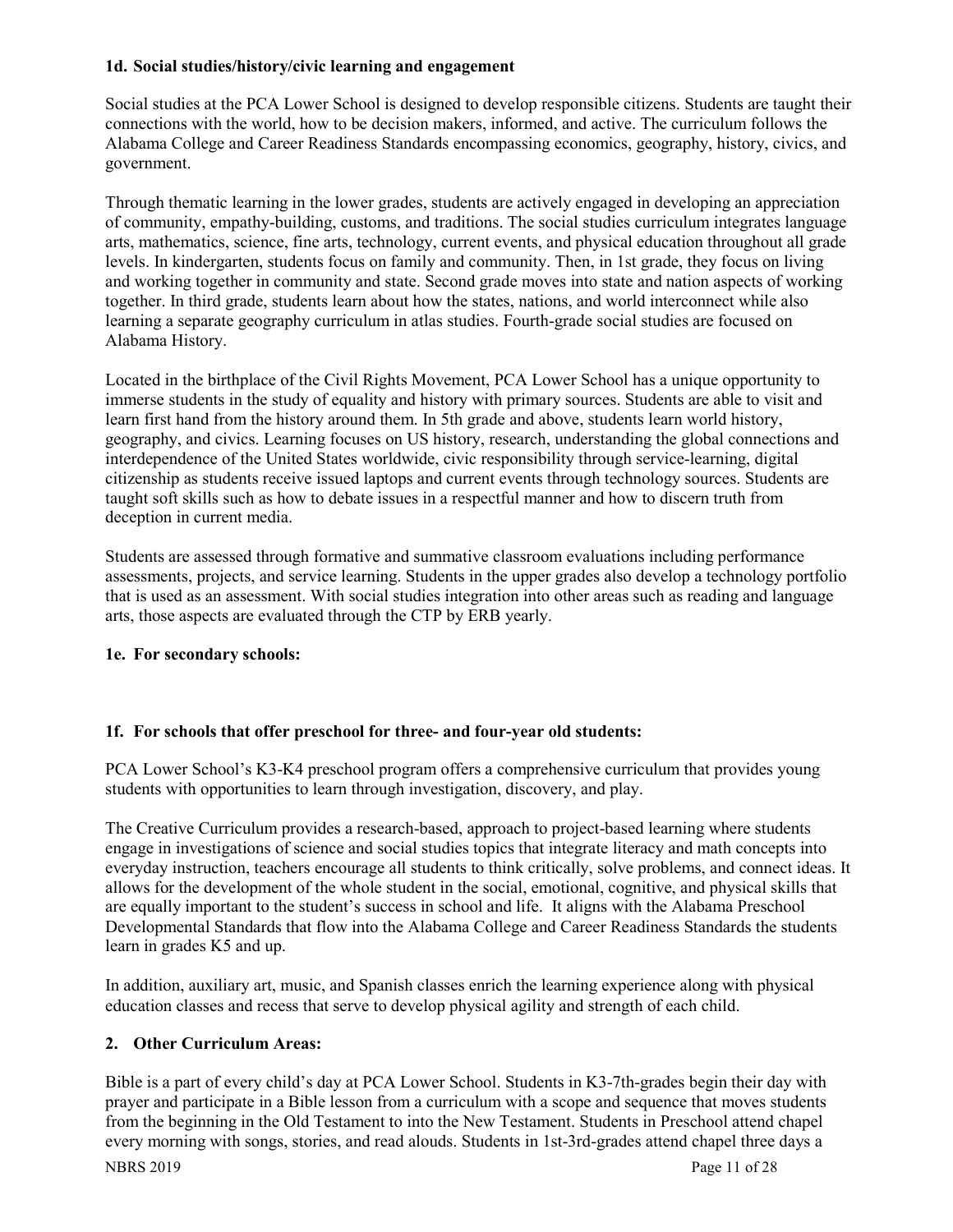#### **1d. Social studies/history/civic learning and engagement**

Social studies at the PCA Lower School is designed to develop responsible citizens. Students are taught their connections with the world, how to be decision makers, informed, and active. The curriculum follows the Alabama College and Career Readiness Standards encompassing economics, geography, history, civics, and government.

Through thematic learning in the lower grades, students are actively engaged in developing an appreciation of community, empathy-building, customs, and traditions. The social studies curriculum integrates language arts, mathematics, science, fine arts, technology, current events, and physical education throughout all grade levels. In kindergarten, students focus on family and community. Then, in 1st grade, they focus on living and working together in community and state. Second grade moves into state and nation aspects of working together. In third grade, students learn about how the states, nations, and world interconnect while also learning a separate geography curriculum in atlas studies. Fourth-grade social studies are focused on Alabama History.

Located in the birthplace of the Civil Rights Movement, PCA Lower School has a unique opportunity to immerse students in the study of equality and history with primary sources. Students are able to visit and learn first hand from the history around them. In 5th grade and above, students learn world history, geography, and civics. Learning focuses on US history, research, understanding the global connections and interdependence of the United States worldwide, civic responsibility through service-learning, digital citizenship as students receive issued laptops and current events through technology sources. Students are taught soft skills such as how to debate issues in a respectful manner and how to discern truth from deception in current media.

Students are assessed through formative and summative classroom evaluations including performance assessments, projects, and service learning. Students in the upper grades also develop a technology portfolio that is used as an assessment. With social studies integration into other areas such as reading and language arts, those aspects are evaluated through the CTP by ERB yearly.

#### **1e. For secondary schools:**

#### **1f. For schools that offer preschool for three- and four-year old students:**

PCA Lower School's K3-K4 preschool program offers a comprehensive curriculum that provides young students with opportunities to learn through investigation, discovery, and play.

The Creative Curriculum provides a research-based, approach to project-based learning where students engage in investigations of science and social studies topics that integrate literacy and math concepts into everyday instruction, teachers encourage all students to think critically, solve problems, and connect ideas. It allows for the development of the whole student in the social, emotional, cognitive, and physical skills that are equally important to the student's success in school and life. It aligns with the Alabama Preschool Developmental Standards that flow into the Alabama College and Career Readiness Standards the students learn in grades K5 and up.

In addition, auxiliary art, music, and Spanish classes enrich the learning experience along with physical education classes and recess that serve to develop physical agility and strength of each child.

#### **2. Other Curriculum Areas:**

Bible is a part of every child's day at PCA Lower School. Students in K3-7th-grades begin their day with prayer and participate in a Bible lesson from a curriculum with a scope and sequence that moves students from the beginning in the Old Testament to into the New Testament. Students in Preschool attend chapel every morning with songs, stories, and read alouds. Students in 1st-3rd-grades attend chapel three days a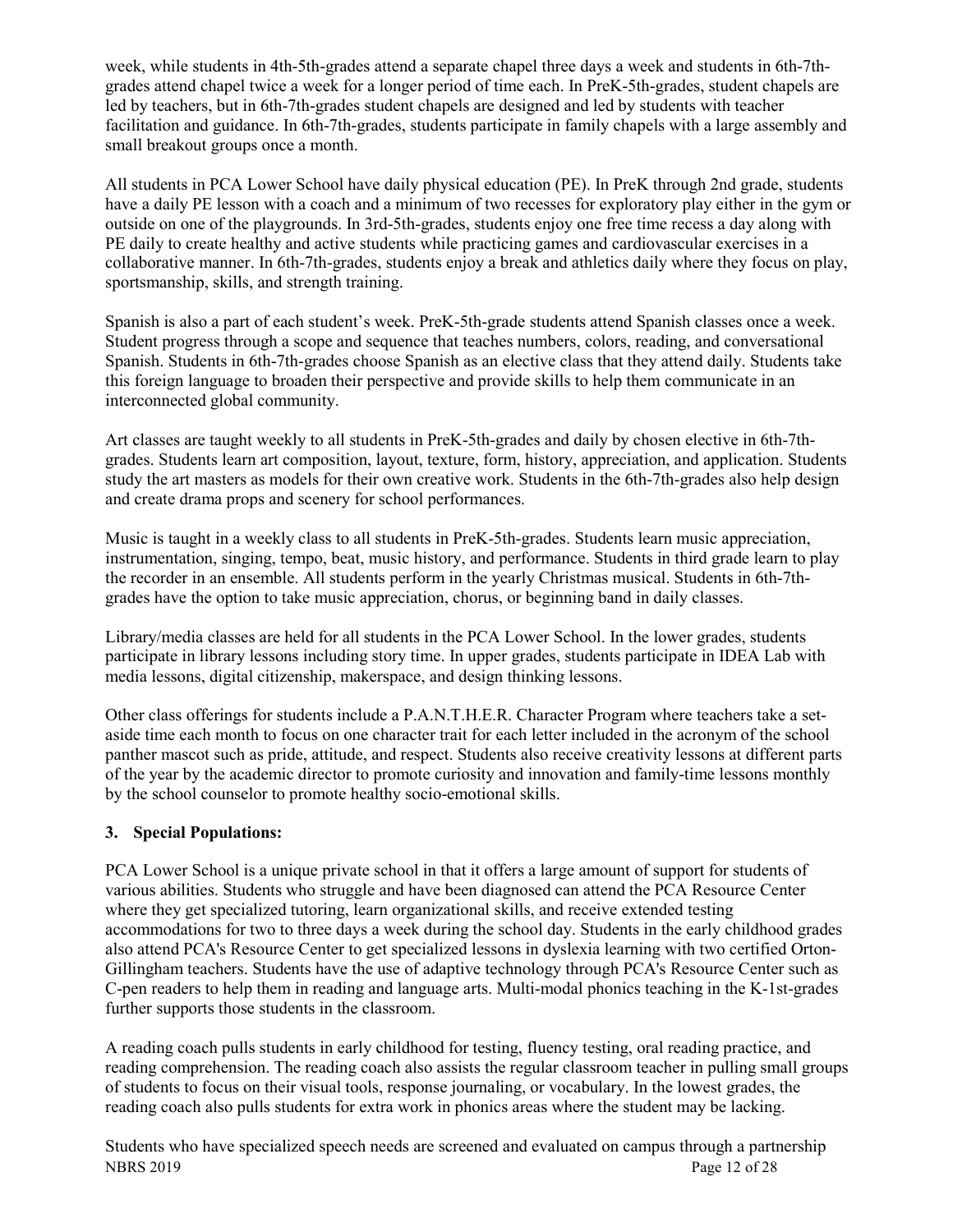week, while students in 4th-5th-grades attend a separate chapel three days a week and students in 6th-7thgrades attend chapel twice a week for a longer period of time each. In PreK-5th-grades, student chapels are led by teachers, but in 6th-7th-grades student chapels are designed and led by students with teacher facilitation and guidance. In 6th-7th-grades, students participate in family chapels with a large assembly and small breakout groups once a month.

All students in PCA Lower School have daily physical education (PE). In PreK through 2nd grade, students have a daily PE lesson with a coach and a minimum of two recesses for exploratory play either in the gym or outside on one of the playgrounds. In 3rd-5th-grades, students enjoy one free time recess a day along with PE daily to create healthy and active students while practicing games and cardiovascular exercises in a collaborative manner. In 6th-7th-grades, students enjoy a break and athletics daily where they focus on play, sportsmanship, skills, and strength training.

Spanish is also a part of each student's week. PreK-5th-grade students attend Spanish classes once a week. Student progress through a scope and sequence that teaches numbers, colors, reading, and conversational Spanish. Students in 6th-7th-grades choose Spanish as an elective class that they attend daily. Students take this foreign language to broaden their perspective and provide skills to help them communicate in an interconnected global community.

Art classes are taught weekly to all students in PreK-5th-grades and daily by chosen elective in 6th-7thgrades. Students learn art composition, layout, texture, form, history, appreciation, and application. Students study the art masters as models for their own creative work. Students in the 6th-7th-grades also help design and create drama props and scenery for school performances.

Music is taught in a weekly class to all students in PreK-5th-grades. Students learn music appreciation, instrumentation, singing, tempo, beat, music history, and performance. Students in third grade learn to play the recorder in an ensemble. All students perform in the yearly Christmas musical. Students in 6th-7thgrades have the option to take music appreciation, chorus, or beginning band in daily classes.

Library/media classes are held for all students in the PCA Lower School. In the lower grades, students participate in library lessons including story time. In upper grades, students participate in IDEA Lab with media lessons, digital citizenship, makerspace, and design thinking lessons.

Other class offerings for students include a P.A.N.T.H.E.R. Character Program where teachers take a setaside time each month to focus on one character trait for each letter included in the acronym of the school panther mascot such as pride, attitude, and respect. Students also receive creativity lessons at different parts of the year by the academic director to promote curiosity and innovation and family-time lessons monthly by the school counselor to promote healthy socio-emotional skills.

#### **3. Special Populations:**

PCA Lower School is a unique private school in that it offers a large amount of support for students of various abilities. Students who struggle and have been diagnosed can attend the PCA Resource Center where they get specialized tutoring, learn organizational skills, and receive extended testing accommodations for two to three days a week during the school day. Students in the early childhood grades also attend PCA's Resource Center to get specialized lessons in dyslexia learning with two certified Orton-Gillingham teachers. Students have the use of adaptive technology through PCA's Resource Center such as C-pen readers to help them in reading and language arts. Multi-modal phonics teaching in the K-1st-grades further supports those students in the classroom.

A reading coach pulls students in early childhood for testing, fluency testing, oral reading practice, and reading comprehension. The reading coach also assists the regular classroom teacher in pulling small groups of students to focus on their visual tools, response journaling, or vocabulary. In the lowest grades, the reading coach also pulls students for extra work in phonics areas where the student may be lacking.

NBRS 2019 Page 12 of 28 Students who have specialized speech needs are screened and evaluated on campus through a partnership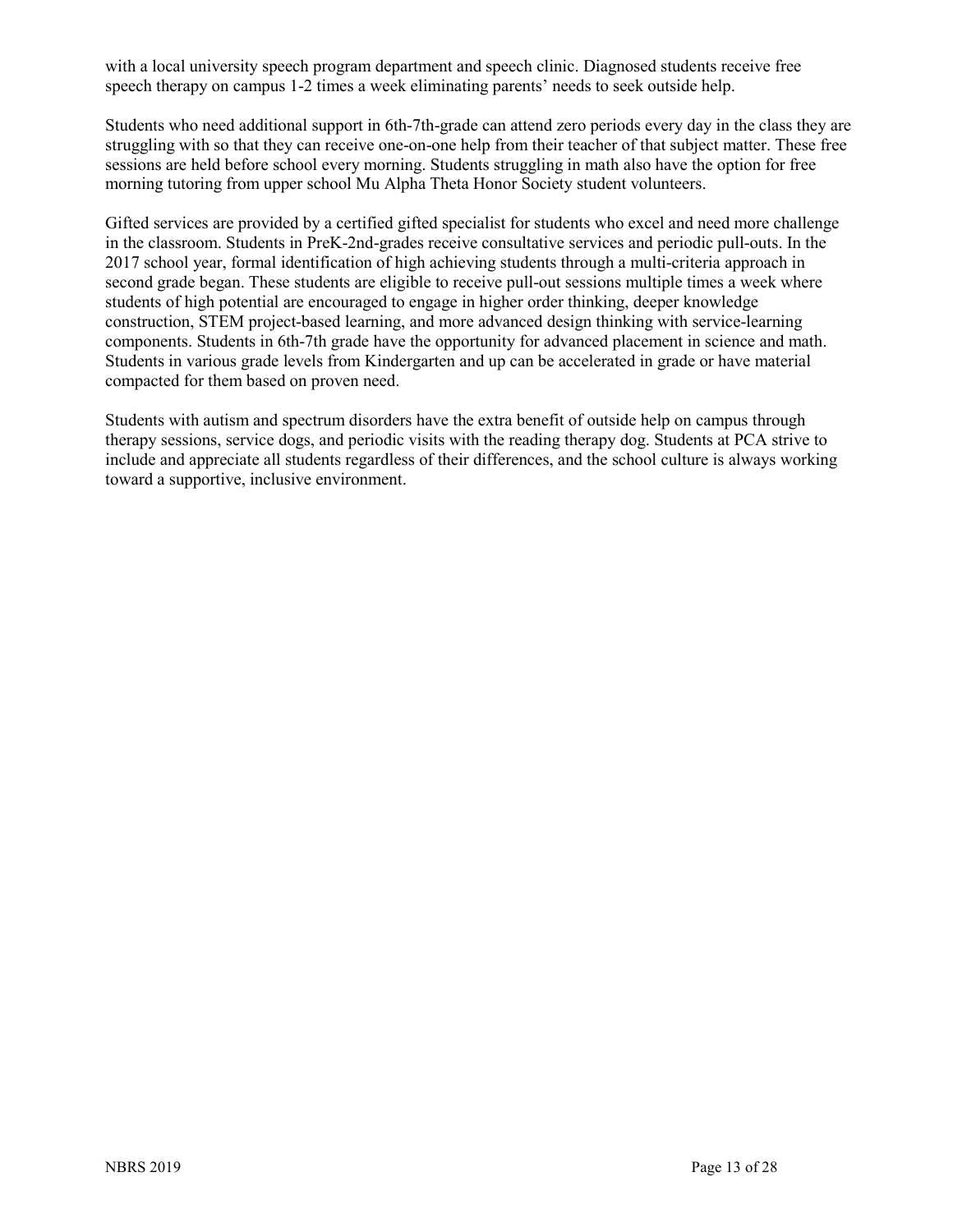with a local university speech program department and speech clinic. Diagnosed students receive free speech therapy on campus 1-2 times a week eliminating parents' needs to seek outside help.

Students who need additional support in 6th-7th-grade can attend zero periods every day in the class they are struggling with so that they can receive one-on-one help from their teacher of that subject matter. These free sessions are held before school every morning. Students struggling in math also have the option for free morning tutoring from upper school Mu Alpha Theta Honor Society student volunteers.

Gifted services are provided by a certified gifted specialist for students who excel and need more challenge in the classroom. Students in PreK-2nd-grades receive consultative services and periodic pull-outs. In the 2017 school year, formal identification of high achieving students through a multi-criteria approach in second grade began. These students are eligible to receive pull-out sessions multiple times a week where students of high potential are encouraged to engage in higher order thinking, deeper knowledge construction, STEM project-based learning, and more advanced design thinking with service-learning components. Students in 6th-7th grade have the opportunity for advanced placement in science and math. Students in various grade levels from Kindergarten and up can be accelerated in grade or have material compacted for them based on proven need.

Students with autism and spectrum disorders have the extra benefit of outside help on campus through therapy sessions, service dogs, and periodic visits with the reading therapy dog. Students at PCA strive to include and appreciate all students regardless of their differences, and the school culture is always working toward a supportive, inclusive environment.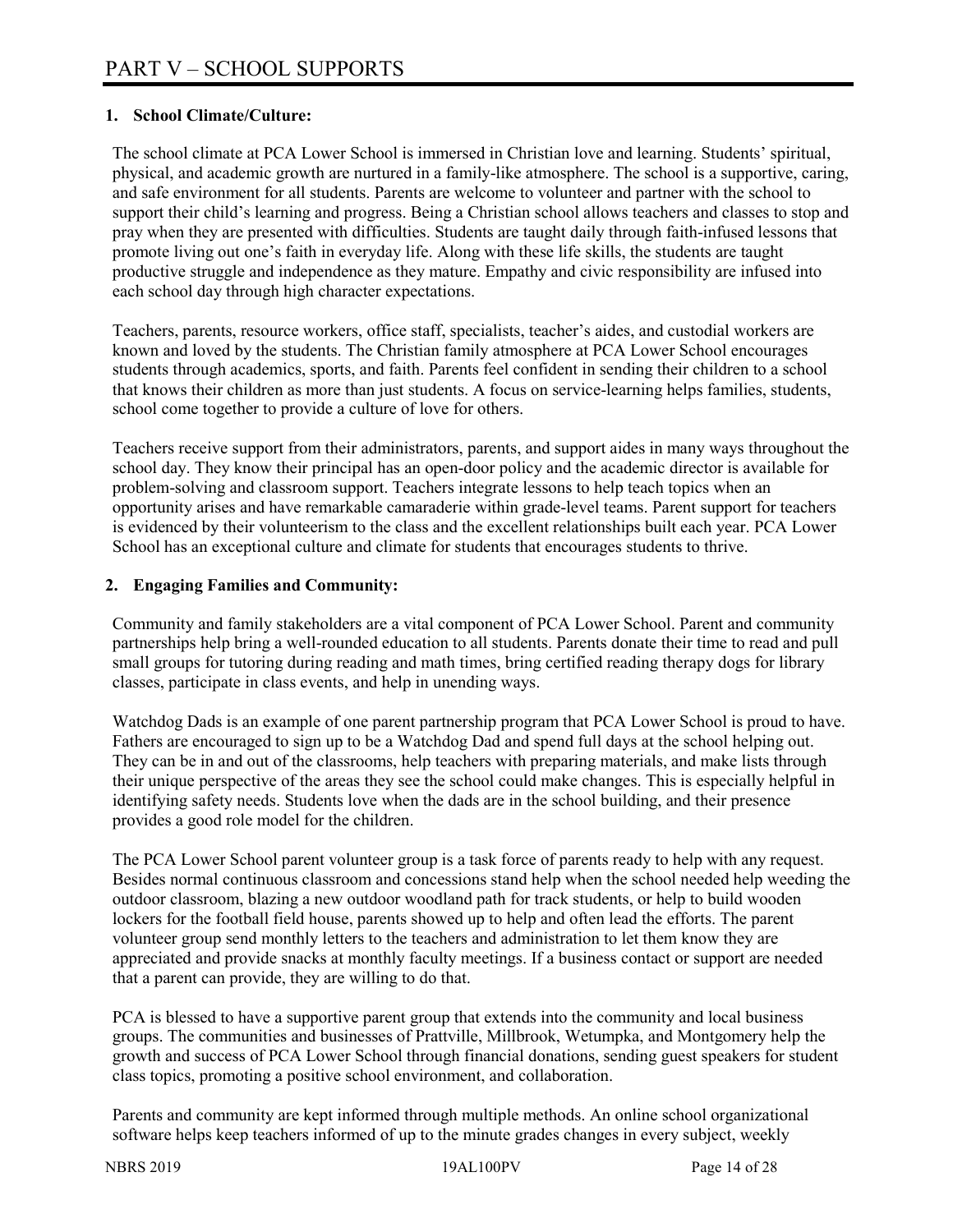#### **1. School Climate/Culture:**

The school climate at PCA Lower School is immersed in Christian love and learning. Students' spiritual, physical, and academic growth are nurtured in a family-like atmosphere. The school is a supportive, caring, and safe environment for all students. Parents are welcome to volunteer and partner with the school to support their child's learning and progress. Being a Christian school allows teachers and classes to stop and pray when they are presented with difficulties. Students are taught daily through faith-infused lessons that promote living out one's faith in everyday life. Along with these life skills, the students are taught productive struggle and independence as they mature. Empathy and civic responsibility are infused into each school day through high character expectations.

Teachers, parents, resource workers, office staff, specialists, teacher's aides, and custodial workers are known and loved by the students. The Christian family atmosphere at PCA Lower School encourages students through academics, sports, and faith. Parents feel confident in sending their children to a school that knows their children as more than just students. A focus on service-learning helps families, students, school come together to provide a culture of love for others.

Teachers receive support from their administrators, parents, and support aides in many ways throughout the school day. They know their principal has an open-door policy and the academic director is available for problem-solving and classroom support. Teachers integrate lessons to help teach topics when an opportunity arises and have remarkable camaraderie within grade-level teams. Parent support for teachers is evidenced by their volunteerism to the class and the excellent relationships built each year. PCA Lower School has an exceptional culture and climate for students that encourages students to thrive.

#### **2. Engaging Families and Community:**

Community and family stakeholders are a vital component of PCA Lower School. Parent and community partnerships help bring a well-rounded education to all students. Parents donate their time to read and pull small groups for tutoring during reading and math times, bring certified reading therapy dogs for library classes, participate in class events, and help in unending ways.

Watchdog Dads is an example of one parent partnership program that PCA Lower School is proud to have. Fathers are encouraged to sign up to be a Watchdog Dad and spend full days at the school helping out. They can be in and out of the classrooms, help teachers with preparing materials, and make lists through their unique perspective of the areas they see the school could make changes. This is especially helpful in identifying safety needs. Students love when the dads are in the school building, and their presence provides a good role model for the children.

The PCA Lower School parent volunteer group is a task force of parents ready to help with any request. Besides normal continuous classroom and concessions stand help when the school needed help weeding the outdoor classroom, blazing a new outdoor woodland path for track students, or help to build wooden lockers for the football field house, parents showed up to help and often lead the efforts. The parent volunteer group send monthly letters to the teachers and administration to let them know they are appreciated and provide snacks at monthly faculty meetings. If a business contact or support are needed that a parent can provide, they are willing to do that.

PCA is blessed to have a supportive parent group that extends into the community and local business groups. The communities and businesses of Prattville, Millbrook, Wetumpka, and Montgomery help the growth and success of PCA Lower School through financial donations, sending guest speakers for student class topics, promoting a positive school environment, and collaboration.

Parents and community are kept informed through multiple methods. An online school organizational software helps keep teachers informed of up to the minute grades changes in every subject, weekly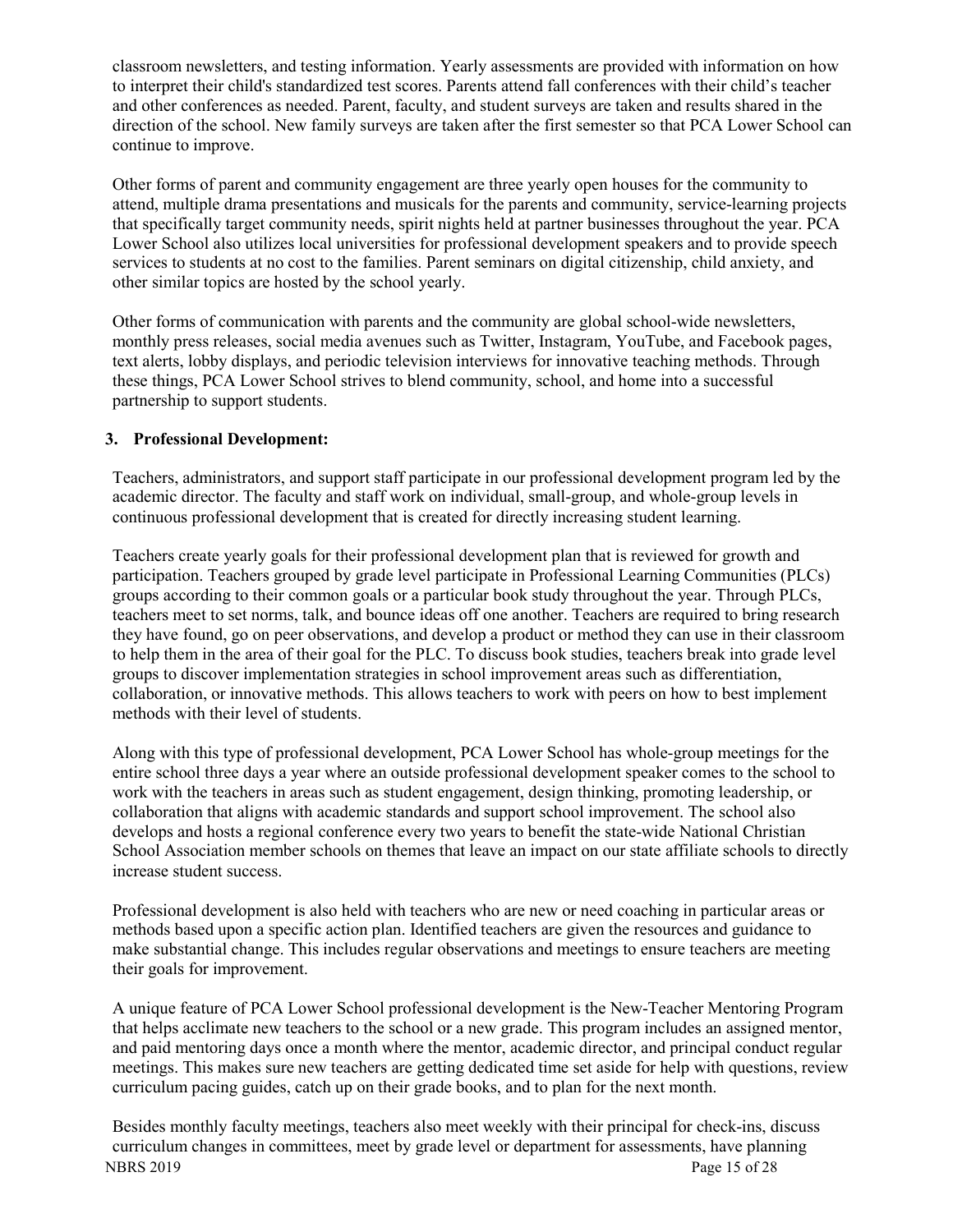classroom newsletters, and testing information. Yearly assessments are provided with information on how to interpret their child's standardized test scores. Parents attend fall conferences with their child's teacher and other conferences as needed. Parent, faculty, and student surveys are taken and results shared in the direction of the school. New family surveys are taken after the first semester so that PCA Lower School can continue to improve.

Other forms of parent and community engagement are three yearly open houses for the community to attend, multiple drama presentations and musicals for the parents and community, service-learning projects that specifically target community needs, spirit nights held at partner businesses throughout the year. PCA Lower School also utilizes local universities for professional development speakers and to provide speech services to students at no cost to the families. Parent seminars on digital citizenship, child anxiety, and other similar topics are hosted by the school yearly.

Other forms of communication with parents and the community are global school-wide newsletters, monthly press releases, social media avenues such as Twitter, Instagram, YouTube, and Facebook pages, text alerts, lobby displays, and periodic television interviews for innovative teaching methods. Through these things, PCA Lower School strives to blend community, school, and home into a successful partnership to support students.

#### **3. Professional Development:**

Teachers, administrators, and support staff participate in our professional development program led by the academic director. The faculty and staff work on individual, small-group, and whole-group levels in continuous professional development that is created for directly increasing student learning.

Teachers create yearly goals for their professional development plan that is reviewed for growth and participation. Teachers grouped by grade level participate in Professional Learning Communities (PLCs) groups according to their common goals or a particular book study throughout the year. Through PLCs, teachers meet to set norms, talk, and bounce ideas off one another. Teachers are required to bring research they have found, go on peer observations, and develop a product or method they can use in their classroom to help them in the area of their goal for the PLC. To discuss book studies, teachers break into grade level groups to discover implementation strategies in school improvement areas such as differentiation, collaboration, or innovative methods. This allows teachers to work with peers on how to best implement methods with their level of students.

Along with this type of professional development, PCA Lower School has whole-group meetings for the entire school three days a year where an outside professional development speaker comes to the school to work with the teachers in areas such as student engagement, design thinking, promoting leadership, or collaboration that aligns with academic standards and support school improvement. The school also develops and hosts a regional conference every two years to benefit the state-wide National Christian School Association member schools on themes that leave an impact on our state affiliate schools to directly increase student success.

Professional development is also held with teachers who are new or need coaching in particular areas or methods based upon a specific action plan. Identified teachers are given the resources and guidance to make substantial change. This includes regular observations and meetings to ensure teachers are meeting their goals for improvement.

A unique feature of PCA Lower School professional development is the New-Teacher Mentoring Program that helps acclimate new teachers to the school or a new grade. This program includes an assigned mentor, and paid mentoring days once a month where the mentor, academic director, and principal conduct regular meetings. This makes sure new teachers are getting dedicated time set aside for help with questions, review curriculum pacing guides, catch up on their grade books, and to plan for the next month.

NBRS 2019 **Page 15 of 28** Besides monthly faculty meetings, teachers also meet weekly with their principal for check-ins, discuss curriculum changes in committees, meet by grade level or department for assessments, have planning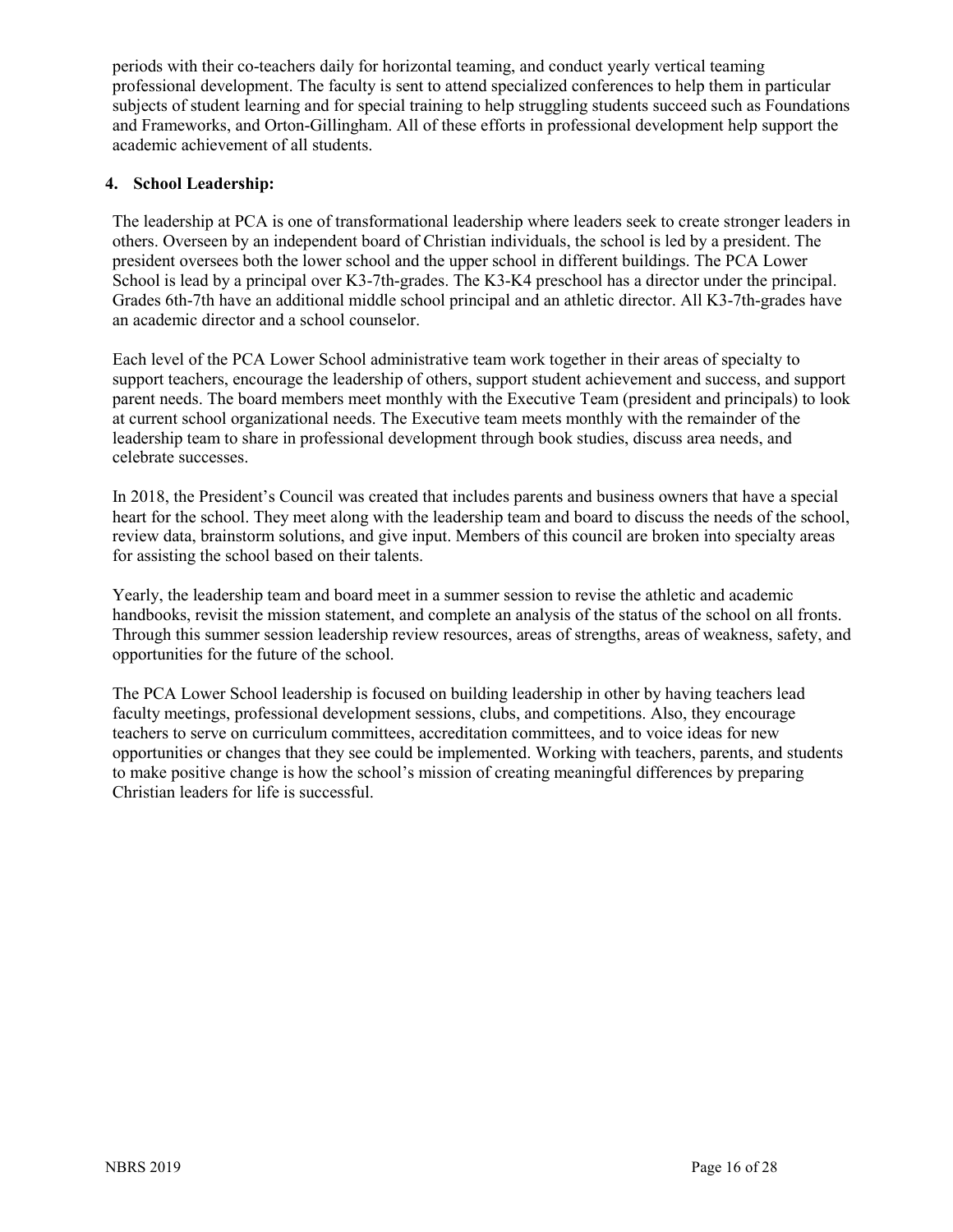periods with their co-teachers daily for horizontal teaming, and conduct yearly vertical teaming professional development. The faculty is sent to attend specialized conferences to help them in particular subjects of student learning and for special training to help struggling students succeed such as Foundations and Frameworks, and Orton-Gillingham. All of these efforts in professional development help support the academic achievement of all students.

#### **4. School Leadership:**

The leadership at PCA is one of transformational leadership where leaders seek to create stronger leaders in others. Overseen by an independent board of Christian individuals, the school is led by a president. The president oversees both the lower school and the upper school in different buildings. The PCA Lower School is lead by a principal over K3-7th-grades. The K3-K4 preschool has a director under the principal. Grades 6th-7th have an additional middle school principal and an athletic director. All K3-7th-grades have an academic director and a school counselor.

Each level of the PCA Lower School administrative team work together in their areas of specialty to support teachers, encourage the leadership of others, support student achievement and success, and support parent needs. The board members meet monthly with the Executive Team (president and principals) to look at current school organizational needs. The Executive team meets monthly with the remainder of the leadership team to share in professional development through book studies, discuss area needs, and celebrate successes.

In 2018, the President's Council was created that includes parents and business owners that have a special heart for the school. They meet along with the leadership team and board to discuss the needs of the school, review data, brainstorm solutions, and give input. Members of this council are broken into specialty areas for assisting the school based on their talents.

Yearly, the leadership team and board meet in a summer session to revise the athletic and academic handbooks, revisit the mission statement, and complete an analysis of the status of the school on all fronts. Through this summer session leadership review resources, areas of strengths, areas of weakness, safety, and opportunities for the future of the school.

The PCA Lower School leadership is focused on building leadership in other by having teachers lead faculty meetings, professional development sessions, clubs, and competitions. Also, they encourage teachers to serve on curriculum committees, accreditation committees, and to voice ideas for new opportunities or changes that they see could be implemented. Working with teachers, parents, and students to make positive change is how the school's mission of creating meaningful differences by preparing Christian leaders for life is successful.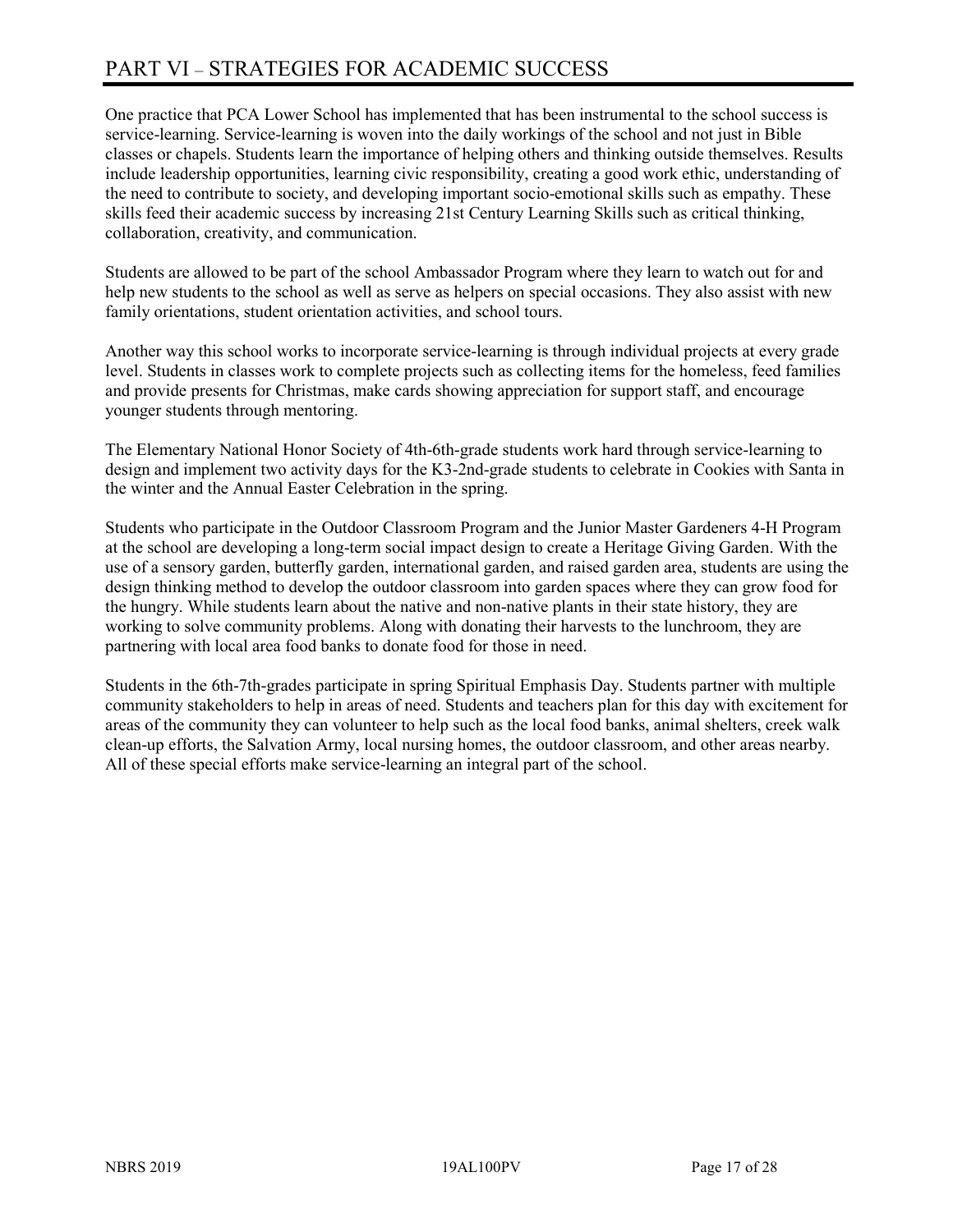# PART VI – STRATEGIES FOR ACADEMIC SUCCESS

One practice that PCA Lower School has implemented that has been instrumental to the school success is service-learning. Service-learning is woven into the daily workings of the school and not just in Bible classes or chapels. Students learn the importance of helping others and thinking outside themselves. Results include leadership opportunities, learning civic responsibility, creating a good work ethic, understanding of the need to contribute to society, and developing important socio-emotional skills such as empathy. These skills feed their academic success by increasing 21st Century Learning Skills such as critical thinking, collaboration, creativity, and communication.

Students are allowed to be part of the school Ambassador Program where they learn to watch out for and help new students to the school as well as serve as helpers on special occasions. They also assist with new family orientations, student orientation activities, and school tours.

Another way this school works to incorporate service-learning is through individual projects at every grade level. Students in classes work to complete projects such as collecting items for the homeless, feed families and provide presents for Christmas, make cards showing appreciation for support staff, and encourage younger students through mentoring.

The Elementary National Honor Society of 4th-6th-grade students work hard through service-learning to design and implement two activity days for the K3-2nd-grade students to celebrate in Cookies with Santa in the winter and the Annual Easter Celebration in the spring.

Students who participate in the Outdoor Classroom Program and the Junior Master Gardeners 4-H Program at the school are developing a long-term social impact design to create a Heritage Giving Garden. With the use of a sensory garden, butterfly garden, international garden, and raised garden area, students are using the design thinking method to develop the outdoor classroom into garden spaces where they can grow food for the hungry. While students learn about the native and non-native plants in their state history, they are working to solve community problems. Along with donating their harvests to the lunchroom, they are partnering with local area food banks to donate food for those in need.

Students in the 6th-7th-grades participate in spring Spiritual Emphasis Day. Students partner with multiple community stakeholders to help in areas of need. Students and teachers plan for this day with excitement for areas of the community they can volunteer to help such as the local food banks, animal shelters, creek walk clean-up efforts, the Salvation Army, local nursing homes, the outdoor classroom, and other areas nearby. All of these special efforts make service-learning an integral part of the school.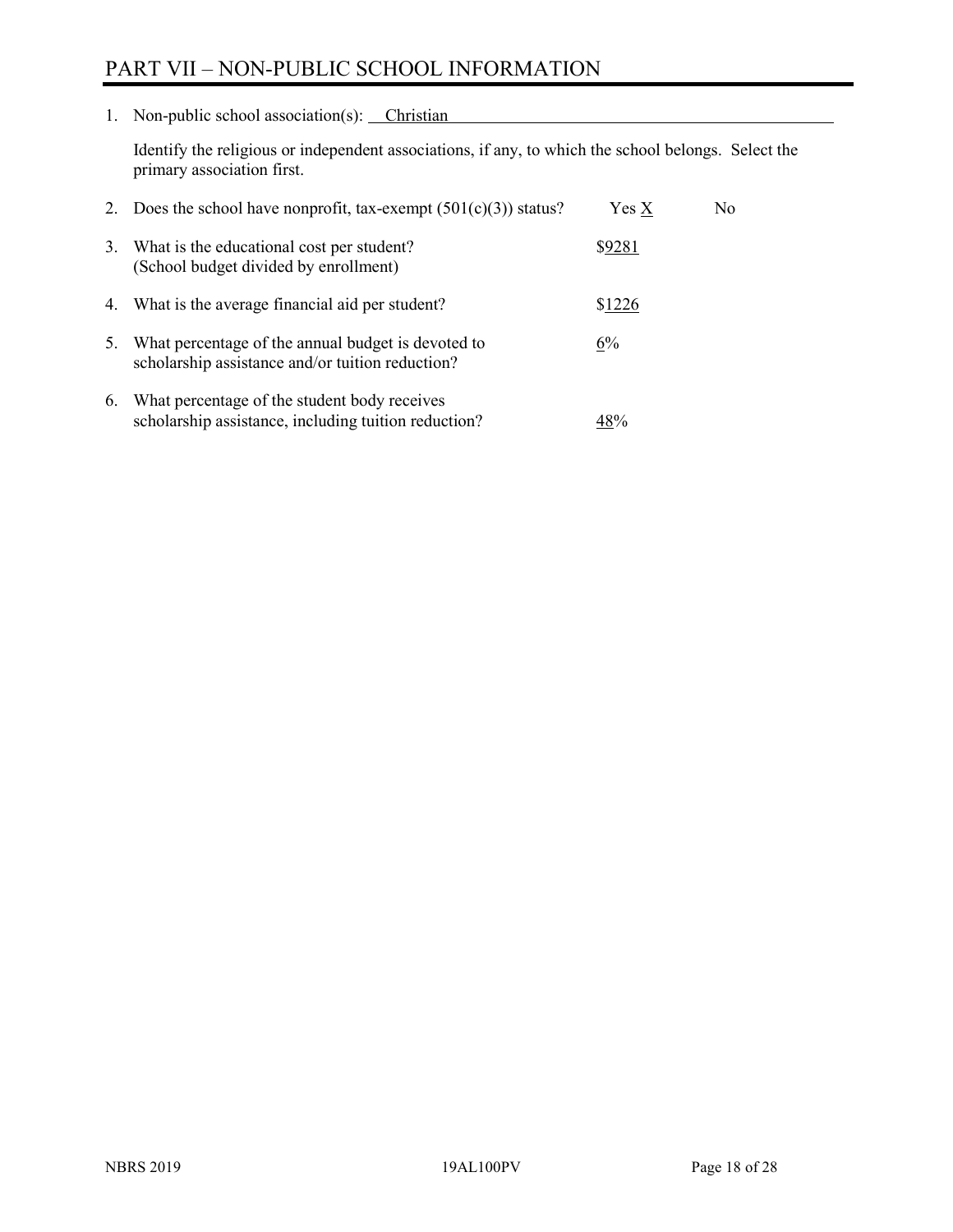# PART VII – NON-PUBLIC SCHOOL INFORMATION

1. Non-public school association(s): Christian

Identify the religious or independent associations, if any, to which the school belongs. Select the primary association first.

|    | 2. Does the school have nonprofit, tax-exempt $(501(c)(3))$ status?                                    | $Yes\ X$ | No. |
|----|--------------------------------------------------------------------------------------------------------|----------|-----|
| 3. | What is the educational cost per student?<br>(School budget divided by enrollment)                     | \$9281   |     |
|    | 4. What is the average financial aid per student?                                                      | \$1226   |     |
| 5. | What percentage of the annual budget is devoted to<br>scholarship assistance and/or tuition reduction? | 6%       |     |
| 6. | What percentage of the student body receives<br>scholarship assistance, including tuition reduction?   | 48%      |     |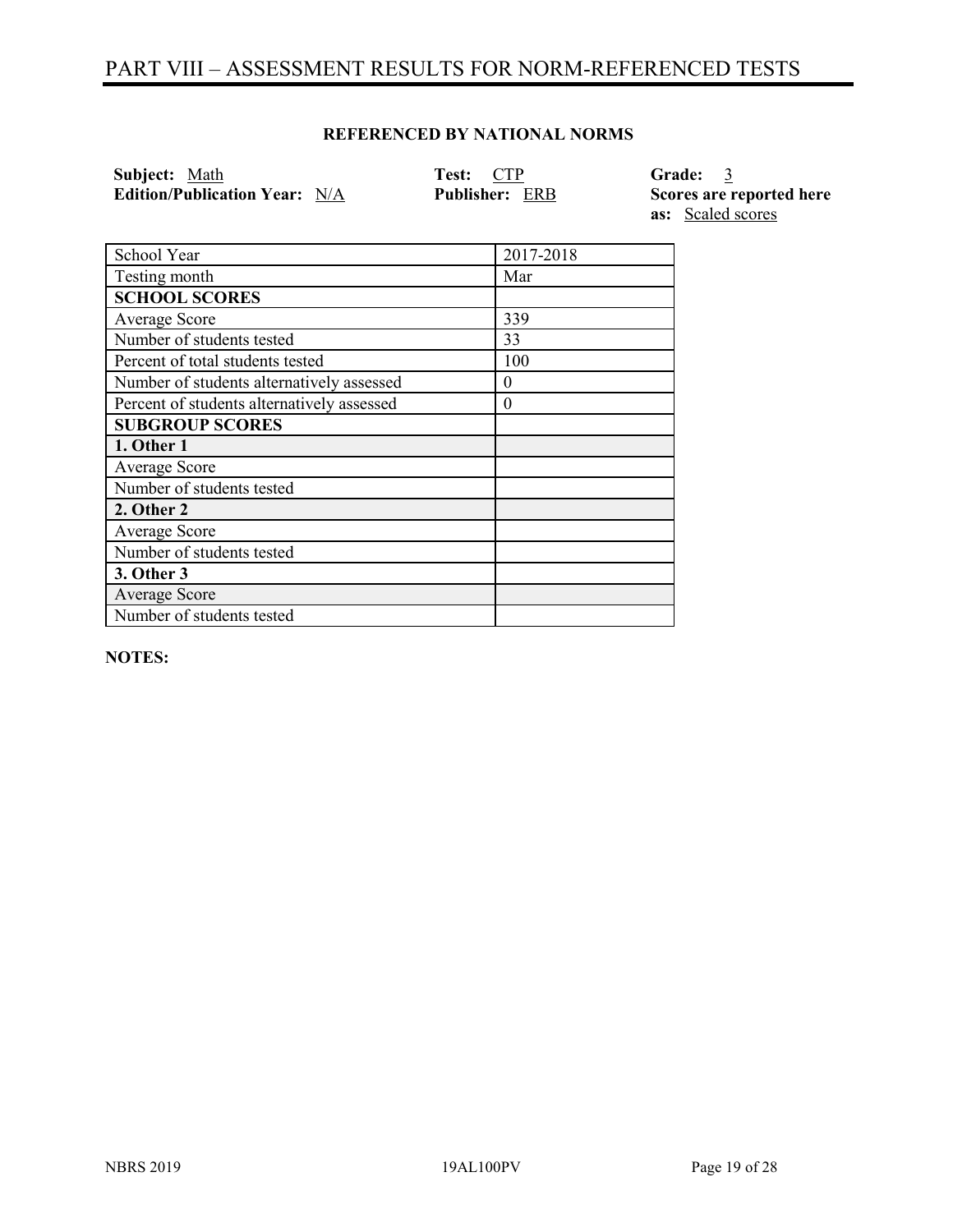# PART VIII – ASSESSMENT RESULTS FOR NORM-REFERENCED TESTS

#### **REFERENCED BY NATIONAL NORMS**

| Subject: Math                        | <b>Test: CTP</b>      | Grade: 3                 |
|--------------------------------------|-----------------------|--------------------------|
| <b>Edition/Publication Year:</b> N/A | <b>Publisher: ERB</b> | Scores are reported here |
|                                      |                       | <b>as:</b> Scaled scores |

| School Year                                | 2017-2018 |
|--------------------------------------------|-----------|
| Testing month                              | Mar       |
| <b>SCHOOL SCORES</b>                       |           |
| Average Score                              | 339       |
| Number of students tested                  | 33        |
| Percent of total students tested           | 100       |
| Number of students alternatively assessed  | 0         |
| Percent of students alternatively assessed | $\theta$  |
| <b>SUBGROUP SCORES</b>                     |           |
| 1. Other 1                                 |           |
| Average Score                              |           |
| Number of students tested                  |           |
| 2. Other 2                                 |           |
| Average Score                              |           |
| Number of students tested                  |           |
| 3. Other 3                                 |           |
| Average Score                              |           |
| Number of students tested                  |           |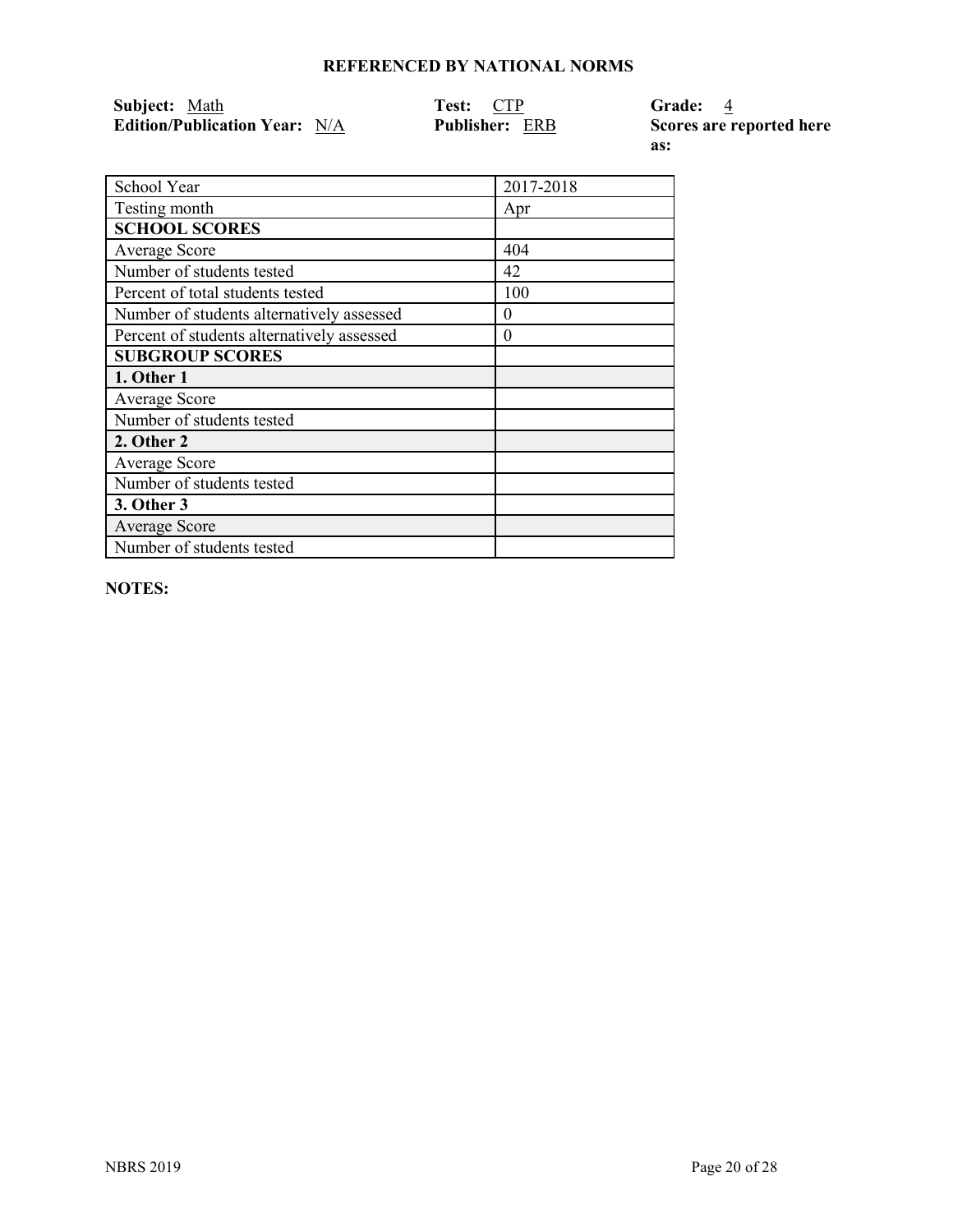| Subject: Math                        | Test: CTP             | Grade: 4                 |
|--------------------------------------|-----------------------|--------------------------|
| <b>Edition/Publication Year:</b> N/A | <b>Publisher: ERB</b> | Scores are reported here |

**as:** 

| School Year                                | 2017-2018 |
|--------------------------------------------|-----------|
| Testing month                              | Apr       |
| <b>SCHOOL SCORES</b>                       |           |
| Average Score                              | 404       |
| Number of students tested                  | 42        |
| Percent of total students tested           | 100       |
| Number of students alternatively assessed  | $\theta$  |
| Percent of students alternatively assessed | $\theta$  |
| <b>SUBGROUP SCORES</b>                     |           |
| 1. Other 1                                 |           |
| Average Score                              |           |
| Number of students tested                  |           |
| 2. Other 2                                 |           |
| Average Score                              |           |
| Number of students tested                  |           |
| 3. Other 3                                 |           |
| <b>Average Score</b>                       |           |
| Number of students tested                  |           |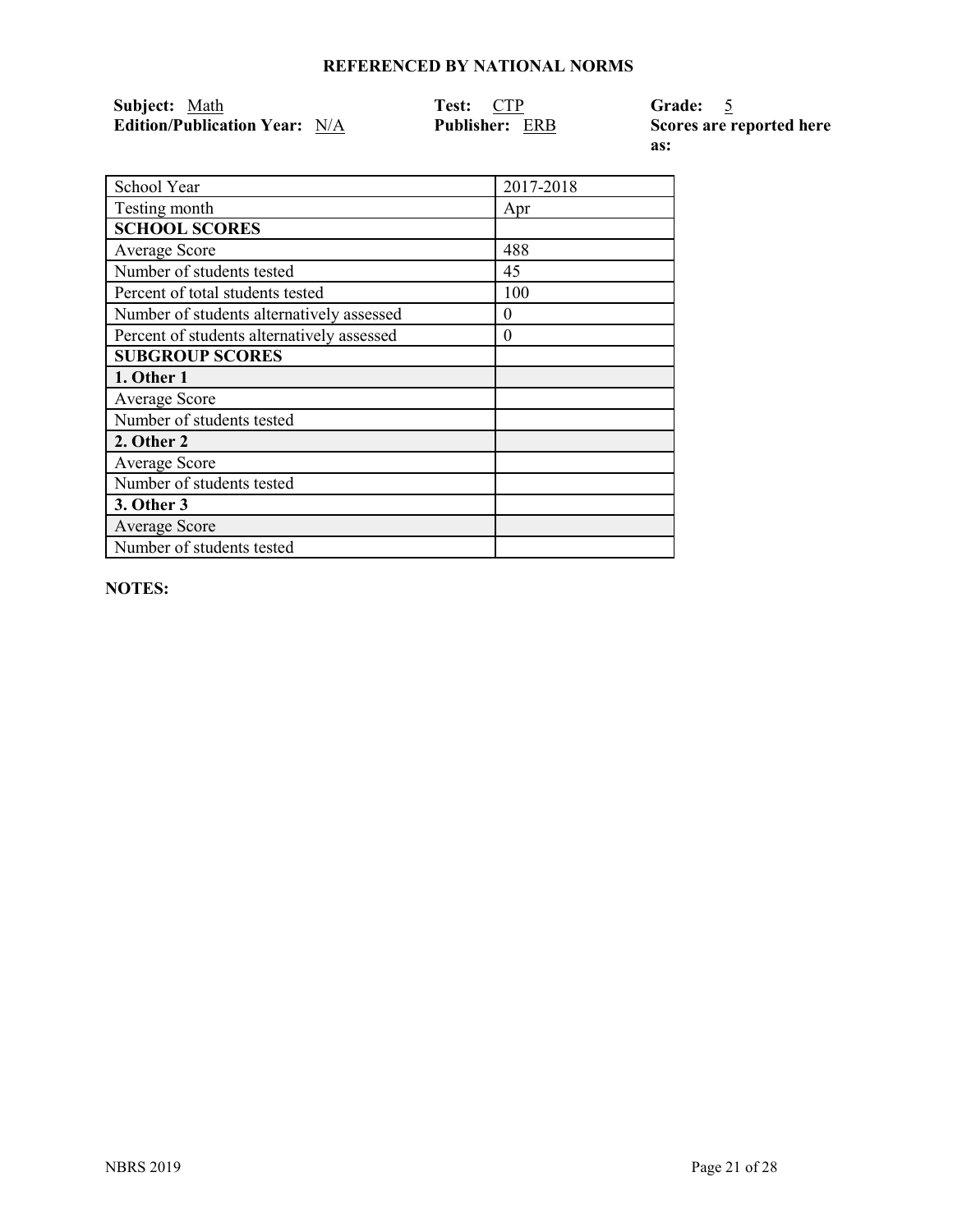| Subject: Math                        | Test: CTP             | Grade: 5                 |
|--------------------------------------|-----------------------|--------------------------|
| <b>Edition/Publication Year:</b> N/A | <b>Publisher: ERB</b> | Scores are reported here |

**as:** 

| School Year                                | 2017-2018 |
|--------------------------------------------|-----------|
| Testing month                              | Apr       |
| <b>SCHOOL SCORES</b>                       |           |
| Average Score                              | 488       |
| Number of students tested                  | 45        |
| Percent of total students tested           | 100       |
| Number of students alternatively assessed  | $\theta$  |
| Percent of students alternatively assessed | $\theta$  |
| <b>SUBGROUP SCORES</b>                     |           |
| 1. Other 1                                 |           |
| Average Score                              |           |
| Number of students tested                  |           |
| 2. Other 2                                 |           |
| Average Score                              |           |
| Number of students tested                  |           |
| 3. Other 3                                 |           |
| <b>Average Score</b>                       |           |
| Number of students tested                  |           |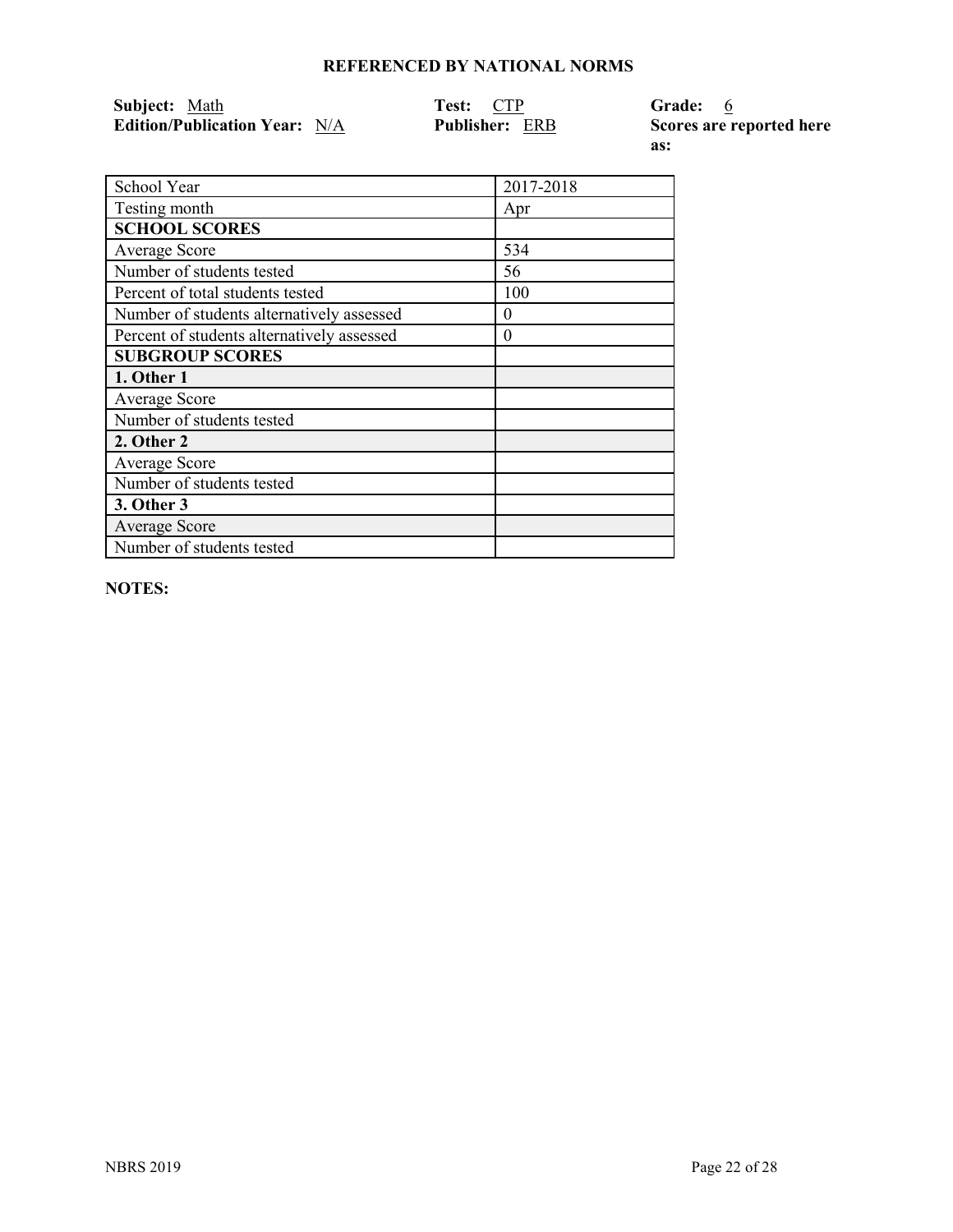| Subject: Math                        | Test: CTP             | Grade: 6                 |
|--------------------------------------|-----------------------|--------------------------|
| <b>Edition/Publication Year:</b> N/A | <b>Publisher: ERB</b> | Scores are reported here |

**as:** 

| School Year                                | 2017-2018 |
|--------------------------------------------|-----------|
| Testing month                              | Apr       |
| <b>SCHOOL SCORES</b>                       |           |
| <b>Average Score</b>                       | 534       |
| Number of students tested                  | 56        |
| Percent of total students tested           | 100       |
| Number of students alternatively assessed  | 0         |
| Percent of students alternatively assessed | 0         |
| <b>SUBGROUP SCORES</b>                     |           |
| 1. Other 1                                 |           |
| Average Score                              |           |
| Number of students tested                  |           |
| 2. Other 2                                 |           |
| Average Score                              |           |
| Number of students tested                  |           |
| 3. Other 3                                 |           |
| <b>Average Score</b>                       |           |
| Number of students tested                  |           |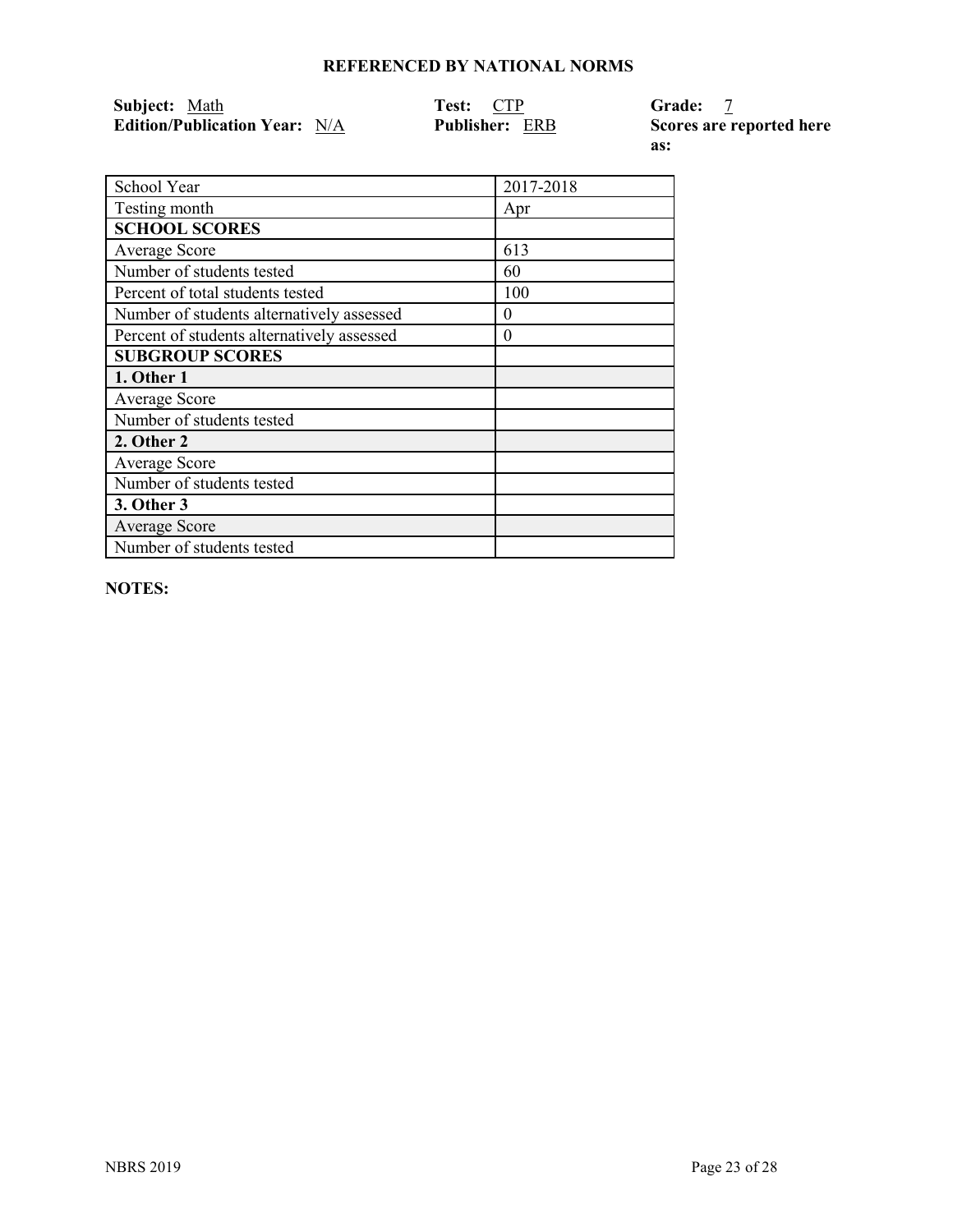| Subject: Math                        | Test: CTP             | <b>Grade:</b>            |
|--------------------------------------|-----------------------|--------------------------|
| <b>Edition/Publication Year:</b> N/A | <b>Publisher: ERB</b> | Scores are reported here |

**as:** 

| School Year                                | 2017-2018 |
|--------------------------------------------|-----------|
| Testing month                              | Apr       |
| <b>SCHOOL SCORES</b>                       |           |
| Average Score                              | 613       |
| Number of students tested                  | 60        |
| Percent of total students tested           | 100       |
| Number of students alternatively assessed  | 0         |
| Percent of students alternatively assessed | $\theta$  |
| <b>SUBGROUP SCORES</b>                     |           |
| 1. Other 1                                 |           |
| Average Score                              |           |
| Number of students tested                  |           |
| 2. Other 2                                 |           |
| Average Score                              |           |
| Number of students tested                  |           |
| 3. Other 3                                 |           |
| <b>Average Score</b>                       |           |
| Number of students tested                  |           |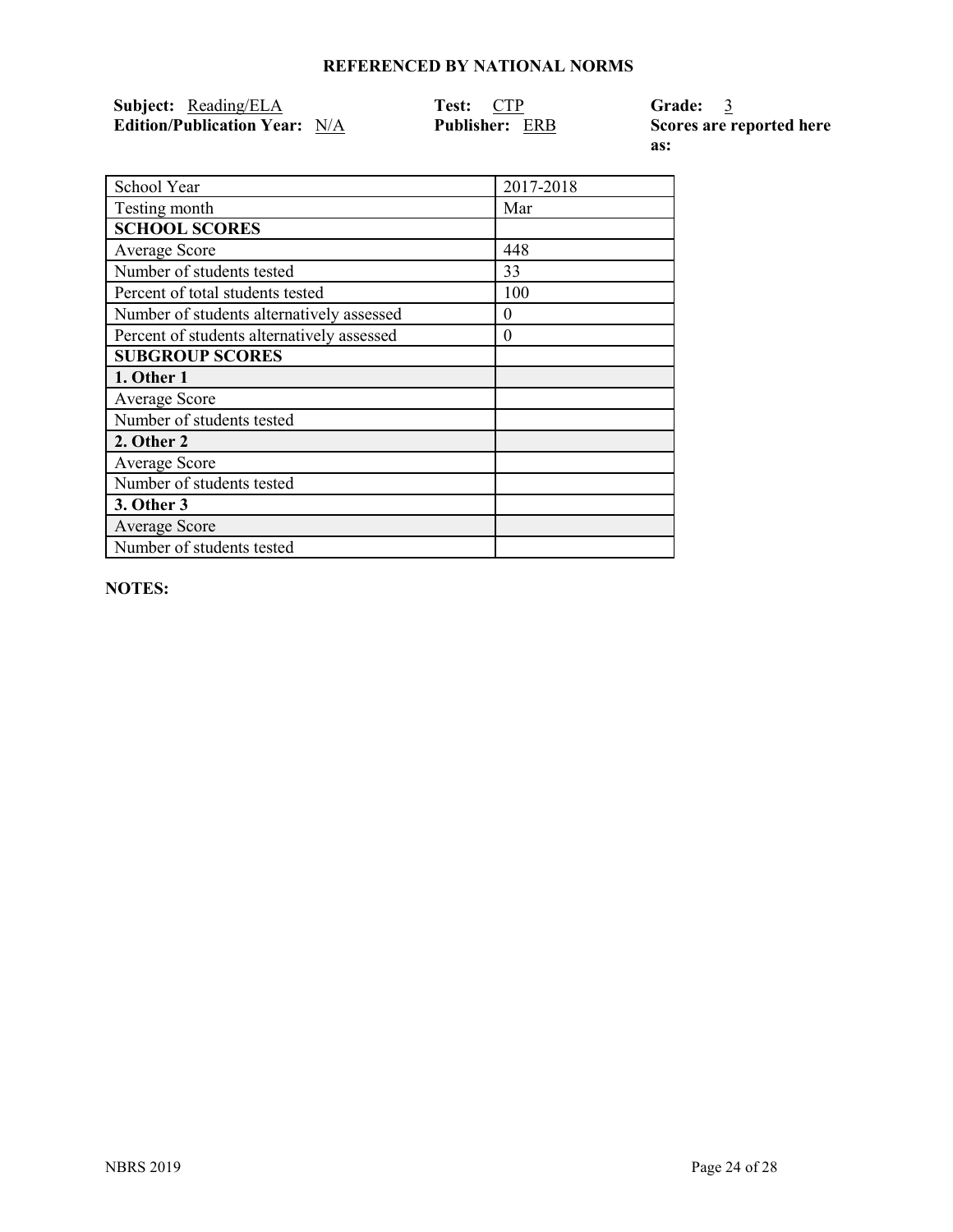| <b>Subject:</b> Reading/ELA          | <b>Test: CTP</b>      | Grade: 3       |
|--------------------------------------|-----------------------|----------------|
| <b>Edition/Publication Year:</b> N/A | <b>Publisher: ERB</b> | Scores are rei |

**E** ported here **as:** 

| School Year                                | 2017-2018 |
|--------------------------------------------|-----------|
| Testing month                              | Mar       |
| <b>SCHOOL SCORES</b>                       |           |
| Average Score                              | 448       |
| Number of students tested                  | 33        |
| Percent of total students tested           | 100       |
| Number of students alternatively assessed  | $\theta$  |
| Percent of students alternatively assessed | $\theta$  |
| <b>SUBGROUP SCORES</b>                     |           |
| 1. Other 1                                 |           |
| Average Score                              |           |
| Number of students tested                  |           |
| 2. Other 2                                 |           |
| Average Score                              |           |
| Number of students tested                  |           |
| 3. Other 3                                 |           |
| <b>Average Score</b>                       |           |
| Number of students tested                  |           |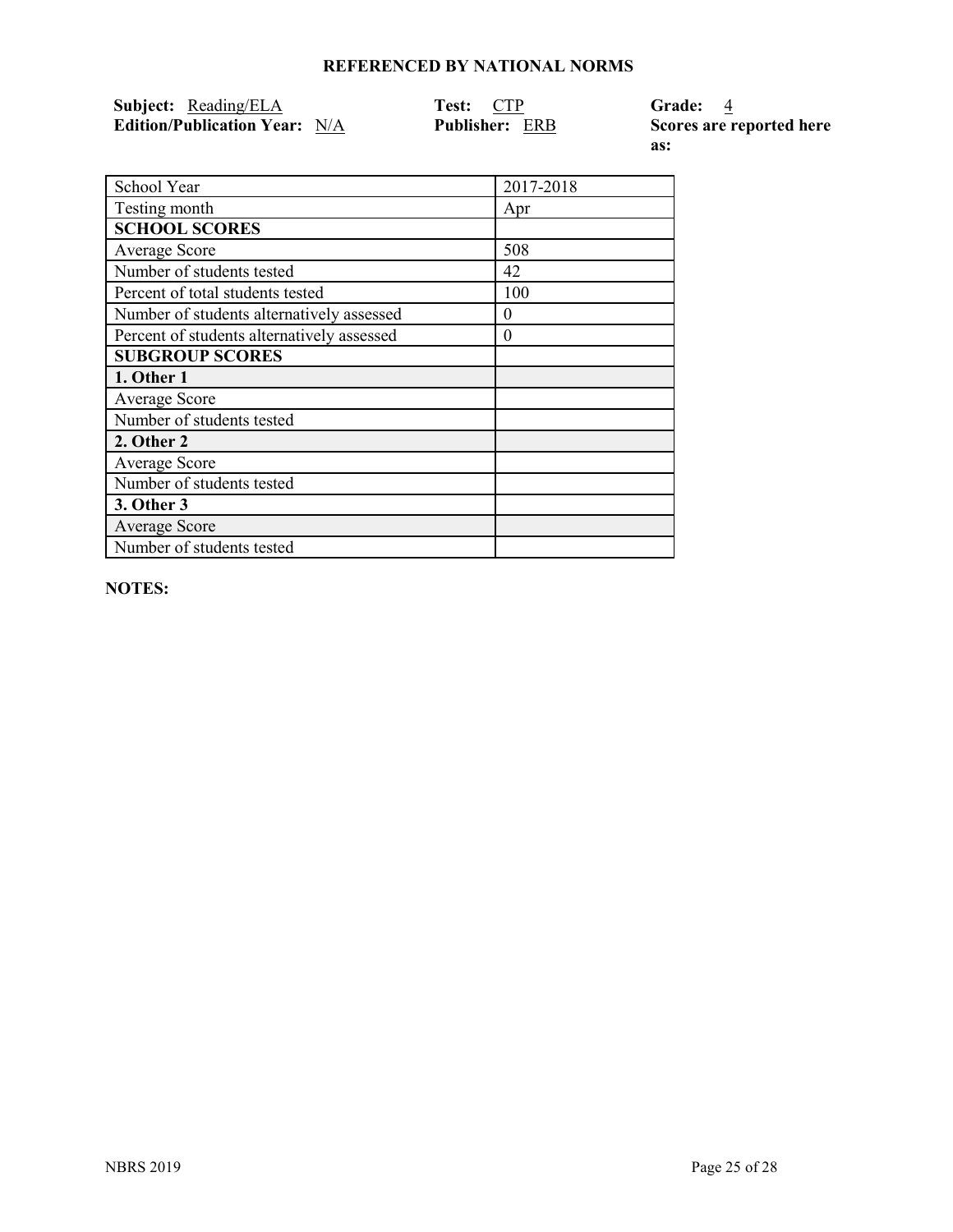| <b>Subject:</b> Reading/ELA          | <b>Test: CTP</b>      | Grade: 4      |
|--------------------------------------|-----------------------|---------------|
| <b>Edition/Publication Year:</b> N/A | <b>Publisher: ERB</b> | Scores are re |

**Exported here as:** 

| School Year                                | 2017-2018 |
|--------------------------------------------|-----------|
| Testing month                              | Apr       |
| <b>SCHOOL SCORES</b>                       |           |
| Average Score                              | 508       |
| Number of students tested                  | 42        |
| Percent of total students tested           | 100       |
| Number of students alternatively assessed  | $\theta$  |
| Percent of students alternatively assessed | $\theta$  |
| <b>SUBGROUP SCORES</b>                     |           |
| 1. Other 1                                 |           |
| Average Score                              |           |
| Number of students tested                  |           |
| 2. Other 2                                 |           |
| Average Score                              |           |
| Number of students tested                  |           |
| 3. Other 3                                 |           |
| <b>Average Score</b>                       |           |
| Number of students tested                  |           |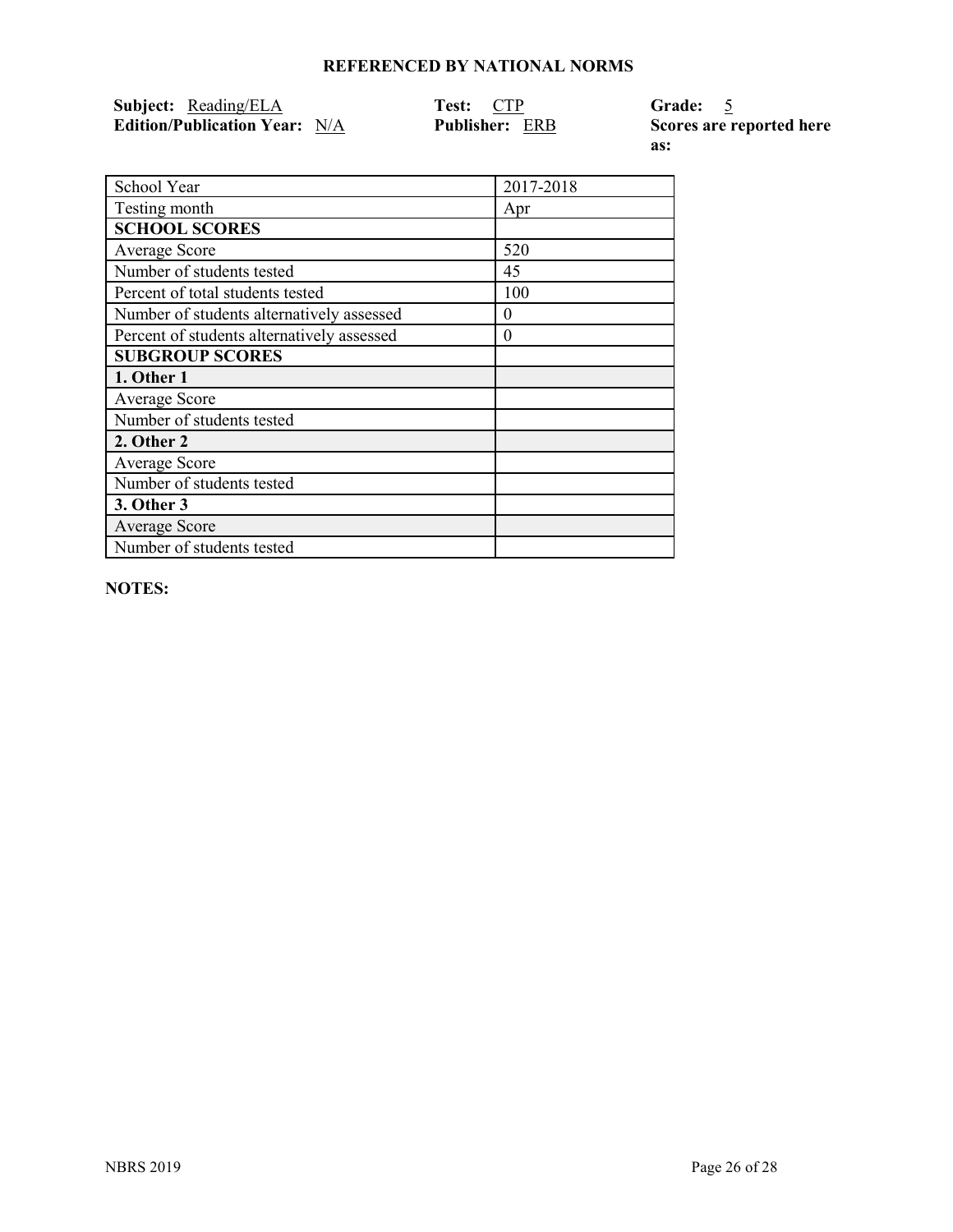| <b>Subject:</b> Reading/ELA          | <b>Test: CTP</b>      | Grade: 5             |
|--------------------------------------|-----------------------|----------------------|
| <b>Edition/Publication Year:</b> N/A | <b>Publisher: ERB</b> | <b>Scores are re</b> |

**Exported here as:** 

| School Year                                | 2017-2018 |
|--------------------------------------------|-----------|
| Testing month                              | Apr       |
| <b>SCHOOL SCORES</b>                       |           |
| Average Score                              | 520       |
| Number of students tested                  | 45        |
| Percent of total students tested           | 100       |
| Number of students alternatively assessed  | $\theta$  |
| Percent of students alternatively assessed | $\theta$  |
| <b>SUBGROUP SCORES</b>                     |           |
| 1. Other 1                                 |           |
| Average Score                              |           |
| Number of students tested                  |           |
| 2. Other 2                                 |           |
| Average Score                              |           |
| Number of students tested                  |           |
| 3. Other 3                                 |           |
| <b>Average Score</b>                       |           |
| Number of students tested                  |           |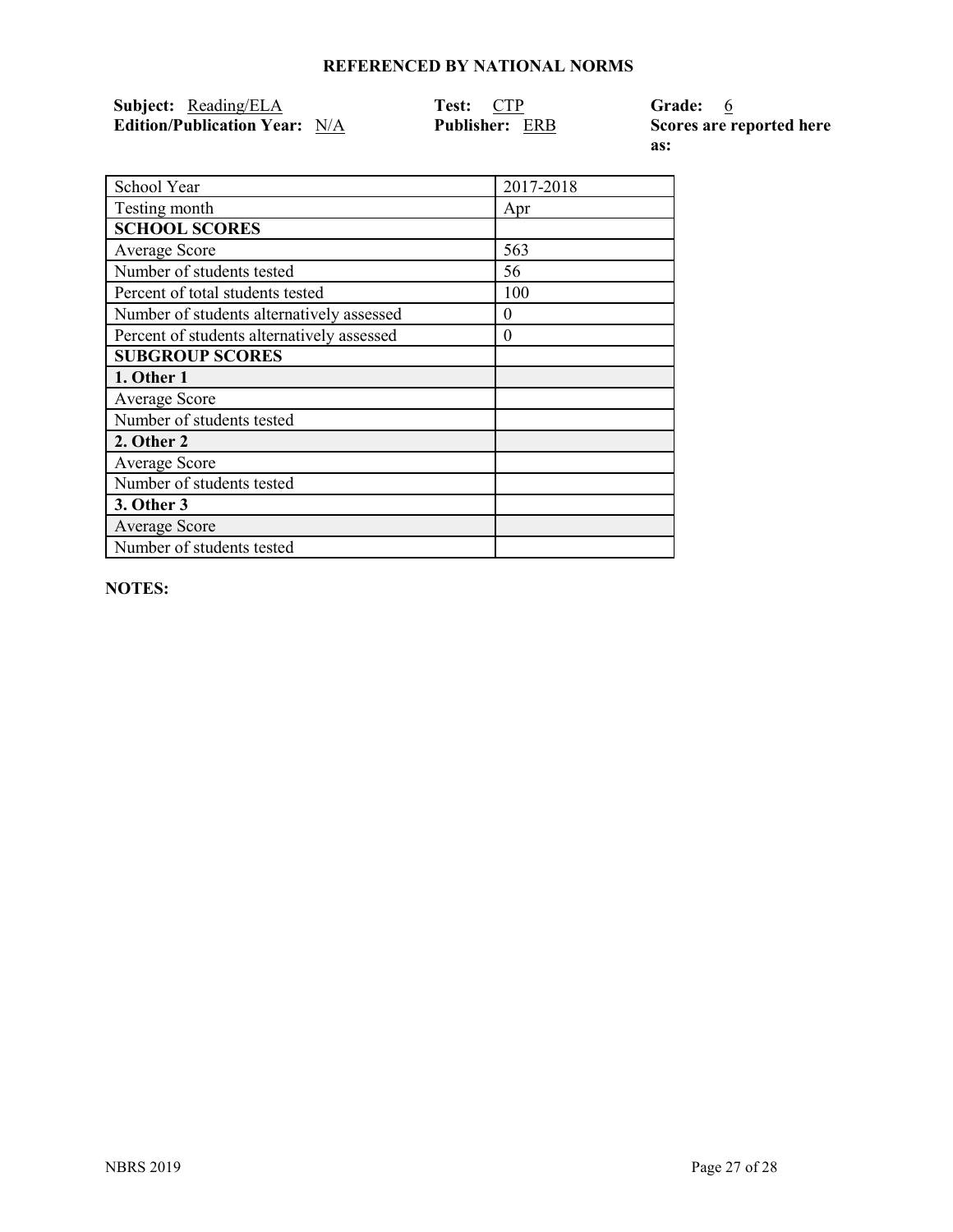| <b>Subject:</b> Reading/ELA          | <b>Test: CTP</b>      | Grade: 6      |
|--------------------------------------|-----------------------|---------------|
| <b>Edition/Publication Year:</b> N/A | <b>Publisher: ERB</b> | Scores are re |

 $\epsilon$  ported here **as:** 

| School Year                                | 2017-2018 |
|--------------------------------------------|-----------|
| Testing month                              | Apr       |
| <b>SCHOOL SCORES</b>                       |           |
| Average Score                              | 563       |
| Number of students tested                  | 56        |
| Percent of total students tested           | 100       |
| Number of students alternatively assessed  | $\theta$  |
| Percent of students alternatively assessed | $\theta$  |
| <b>SUBGROUP SCORES</b>                     |           |
| 1. Other 1                                 |           |
| Average Score                              |           |
| Number of students tested                  |           |
| 2. Other 2                                 |           |
| Average Score                              |           |
| Number of students tested                  |           |
| 3. Other 3                                 |           |
| <b>Average Score</b>                       |           |
| Number of students tested                  |           |